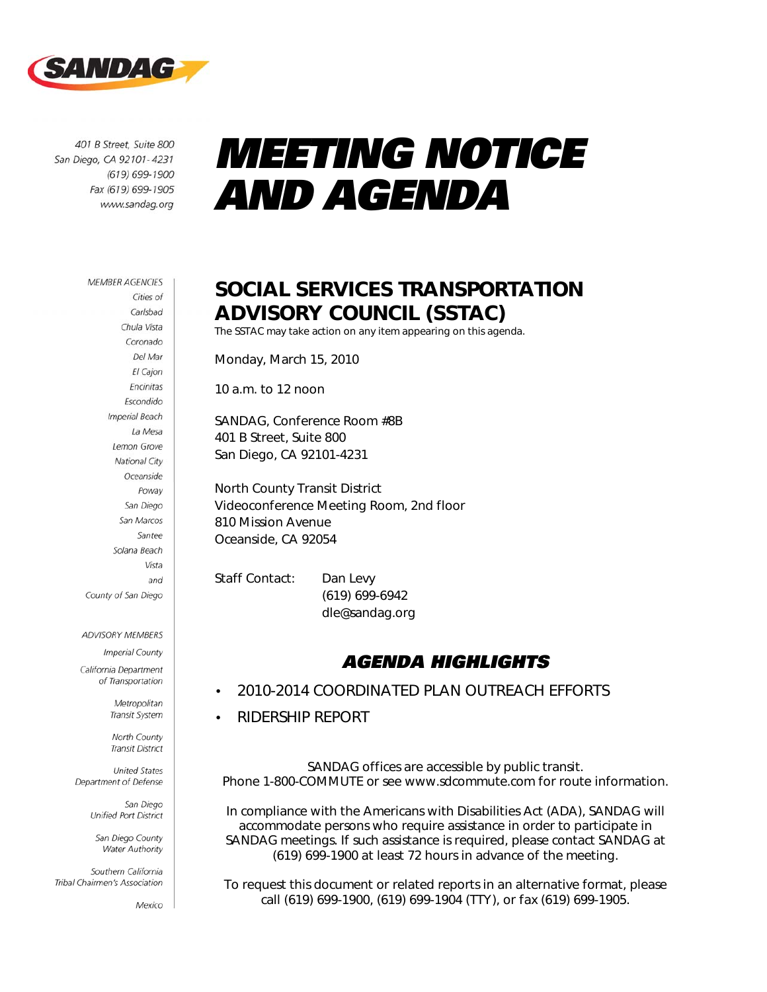

401 B Street, Suite 800 San Diego, CA 92101-4231 (619) 699-1900 Fax (619) 699-1905 www.sandag.org

# *MEETING NOTICE AND AGENDA*

#### **MEMBER AGENCIES**

Cities of Carlsbad Chula Vista Coronado Del Mar El Cajon Encinitas Escondido **Imperial Beach** La Mesa Lemon Grove National City Oceanside Poway San Diego San Marcos Santee Solana Beach Vista and County of San Diego

#### ADVISORY MEMBERS

**Imperial County** California Department

of Transportation

Metropolitan Transit System

North County **Transit District United States** 

Department of Defense

San Diego Unified Port District

San Diego County Water Authority

Southern California Tribal Chairmen's Association

Mexico

### SOCIAL SERVICES TRANSPORTATION ADVISORY COUNCIL (SSTAC)

The SSTAC may take action on any item appearing on this agenda.

Monday, March 15, 2010

10 a.m. to 12 noon

SANDAG, Conference Room #8B 401 B Street, Suite 800 San Diego, CA 92101-4231

North County Transit District Videoconference Meeting Room, 2nd floor 810 Mission Avenue Oceanside, CA 92054

Staff Contact: Dan Levy (619) 699-6942 dle@sandag.org

### *AGENDA HIGHLIGHTS*

- 2010-2014 COORDINATED PLAN OUTREACH EFFORTS
- RIDERSHIP REPORT

SANDAG offices are accessible by public transit. Phone 1-800-COMMUTE or see www.sdcommute.com for route information.

*In compliance with the Americans with Disabilities Act (ADA), SANDAG will accommodate persons who require assistance in order to participate in SANDAG meetings. If such assistance is required, please contact SANDAG at (619) 699-1900 at least 72 hours in advance of the meeting.* 

*To request this document or related reports in an alternative format, please call (619) 699-1900, (619) 699-1904 (TTY), or fax (619) 699-1905.*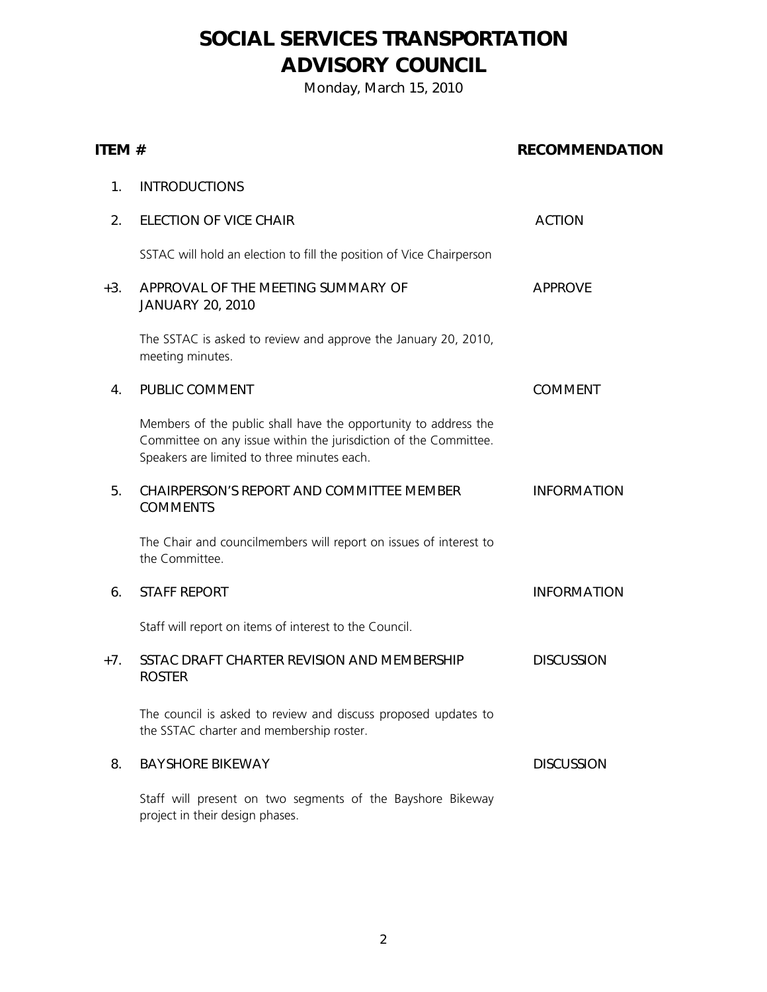### SOCIAL SERVICES TRANSPORTATION ADVISORY COUNCIL

Monday, March 15, 2010

#### ITEM # RECOMMENDATION

| 1.    | <b>INTRODUCTIONS</b>                                                                                                                                                               |                    |
|-------|------------------------------------------------------------------------------------------------------------------------------------------------------------------------------------|--------------------|
| 2.    | <b>ELECTION OF VICE CHAIR</b>                                                                                                                                                      | <b>ACTION</b>      |
|       | SSTAC will hold an election to fill the position of Vice Chairperson                                                                                                               |                    |
| +3.   | APPROVAL OF THE MEETING SUMMARY OF<br><b>JANUARY 20, 2010</b>                                                                                                                      | <b>APPROVE</b>     |
|       | The SSTAC is asked to review and approve the January 20, 2010,<br>meeting minutes.                                                                                                 |                    |
| 4.    | PUBLIC COMMENT                                                                                                                                                                     | <b>COMMENT</b>     |
|       | Members of the public shall have the opportunity to address the<br>Committee on any issue within the jurisdiction of the Committee.<br>Speakers are limited to three minutes each. |                    |
| 5.    | CHAIRPERSON'S REPORT AND COMMITTEE MEMBER<br><b>COMMENTS</b>                                                                                                                       | <b>INFORMATION</b> |
|       | The Chair and councilmembers will report on issues of interest to<br>the Committee.                                                                                                |                    |
| 6.    | <b>STAFF REPORT</b>                                                                                                                                                                | <b>INFORMATION</b> |
|       | Staff will report on items of interest to the Council.                                                                                                                             |                    |
| $+7.$ | SSTAC DRAFT CHARTER REVISION AND MEMBERSHIP<br><b>ROSTER</b>                                                                                                                       | <b>DISCUSSION</b>  |
|       | The council is asked to review and discuss proposed updates to<br>the SSTAC charter and membership roster.                                                                         |                    |
| 8.    | <b>BAYSHORE BIKEWAY</b>                                                                                                                                                            | <b>DISCUSSION</b>  |
|       | Staff will present on two segments of the Bayshore Bikeway<br>project in their design phases.                                                                                      |                    |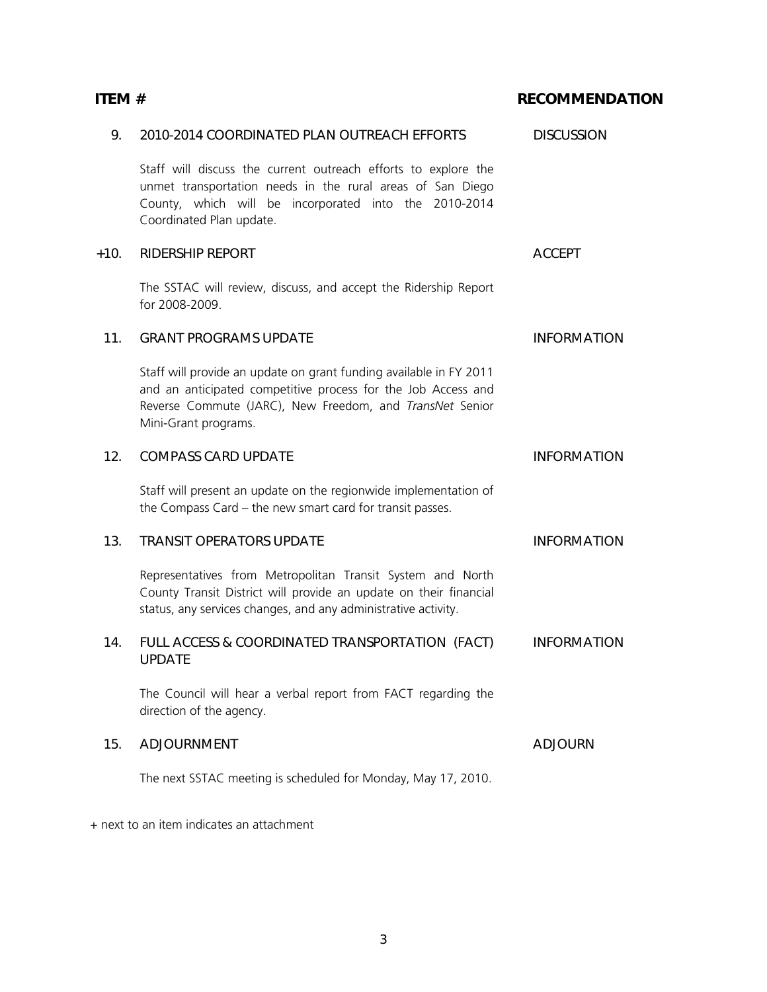| 9.     | 2010-2014 COORDINATED PLAN OUTREACH EFFORTS                                                                                                                                                                             | <b>DISCUSSION</b>  |
|--------|-------------------------------------------------------------------------------------------------------------------------------------------------------------------------------------------------------------------------|--------------------|
|        | Staff will discuss the current outreach efforts to explore the<br>unmet transportation needs in the rural areas of San Diego<br>County, which will be incorporated into the 2010-2014<br>Coordinated Plan update.       |                    |
| $+10.$ | <b>RIDERSHIP REPORT</b>                                                                                                                                                                                                 | <b>ACCEPT</b>      |
|        | The SSTAC will review, discuss, and accept the Ridership Report<br>for 2008-2009.                                                                                                                                       |                    |
| 11.    | <b>GRANT PROGRAMS UPDATE</b>                                                                                                                                                                                            | <b>INFORMATION</b> |
|        | Staff will provide an update on grant funding available in FY 2011<br>and an anticipated competitive process for the Job Access and<br>Reverse Commute (JARC), New Freedom, and TransNet Senior<br>Mini-Grant programs. |                    |
| 12.    | <b>COMPASS CARD UPDATE</b>                                                                                                                                                                                              | <b>INFORMATION</b> |
|        | Staff will present an update on the regionwide implementation of<br>the Compass Card - the new smart card for transit passes.                                                                                           |                    |
| 13.    | <b>TRANSIT OPERATORS UPDATE</b>                                                                                                                                                                                         | <b>INFORMATION</b> |
|        | Representatives from Metropolitan Transit System and North<br>County Transit District will provide an update on their financial<br>status, any services changes, and any administrative activity.                       |                    |
| 14.    | FULL ACCESS & COORDINATED TRANSPORTATION (FACT)<br><b>UPDATE</b>                                                                                                                                                        | <b>INFORMATION</b> |
|        | The Council will hear a verbal report from FACT regarding the<br>direction of the agency.                                                                                                                               |                    |
| 15.    | ADJOURNMENT                                                                                                                                                                                                             | <b>ADJOURN</b>     |
|        | The next SSTAC meeting is scheduled for Monday, May 17, 2010.                                                                                                                                                           |                    |

ITEM # RECOMMENDATION

+ next to an item indicates an attachment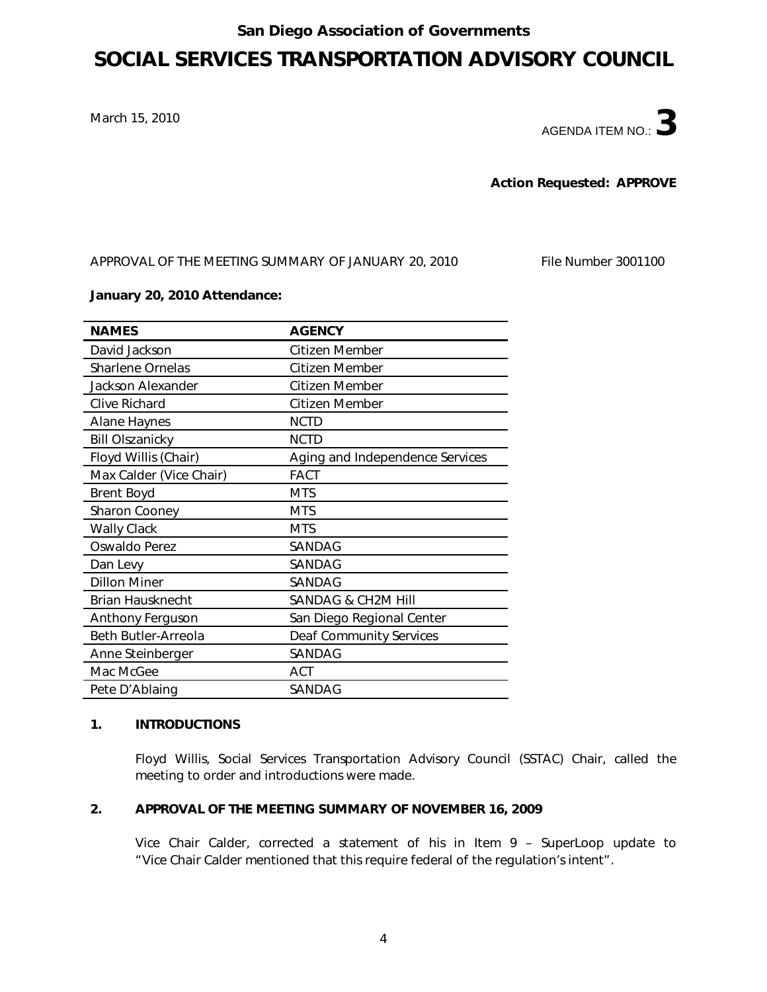#### San Diego Association of Governments

### SOCIAL SERVICES TRANSPORTATION ADVISORY COUNCIL

March 15, 2010

AGENDA ITEM NO.:  $\mathbf 3$ 

Action Requested: APPROVE

APPROVAL OF THE MEETING SUMMARY OF JANUARY 20, 2010 File Number 3001100

#### January 20, 2010 Attendance:

| <b>NAMES</b>            | <b>AGENCY</b>                   |
|-------------------------|---------------------------------|
| David Jackson           | Citizen Member                  |
| <b>Sharlene Ornelas</b> | Citizen Member                  |
| Jackson Alexander       | Citizen Member                  |
| Clive Richard           | Citizen Member                  |
| <b>Alane Haynes</b>     | <b>NCTD</b>                     |
| <b>Bill Olszanicky</b>  | <b>NCTD</b>                     |
| Floyd Willis (Chair)    | Aging and Independence Services |
| Max Calder (Vice Chair) | <b>FACT</b>                     |
| <b>Brent Boyd</b>       | <b>MTS</b>                      |
| Sharon Cooney           | <b>MTS</b>                      |
| <b>Wally Clack</b>      | <b>MTS</b>                      |
| Oswaldo Perez           | SANDAG                          |
| Dan Levy                | SANDAG                          |
| <b>Dillon Miner</b>     | SANDAG                          |
| <b>Brian Hausknecht</b> | <b>SANDAG &amp; CH2M HIII</b>   |
| Anthony Ferguson        | San Diego Regional Center       |
| Beth Butler-Arreola     | <b>Deaf Community Services</b>  |
| Anne Steinberger        | SANDAG                          |
| Mac McGee               | ACT                             |
| Pete D'Ablaing          | SANDAG                          |

#### 1. INTRODUCTIONS

Floyd Willis, Social Services Transportation Advisory Council (SSTAC) Chair, called the meeting to order and introductions were made.

#### 2. APPROVAL OF THE MEETING SUMMARY OF NOVEMBER 16, 2009

Vice Chair Calder, corrected a statement of his in Item 9 – SuperLoop update to "Vice Chair Calder mentioned that this require federal of the regulation's intent".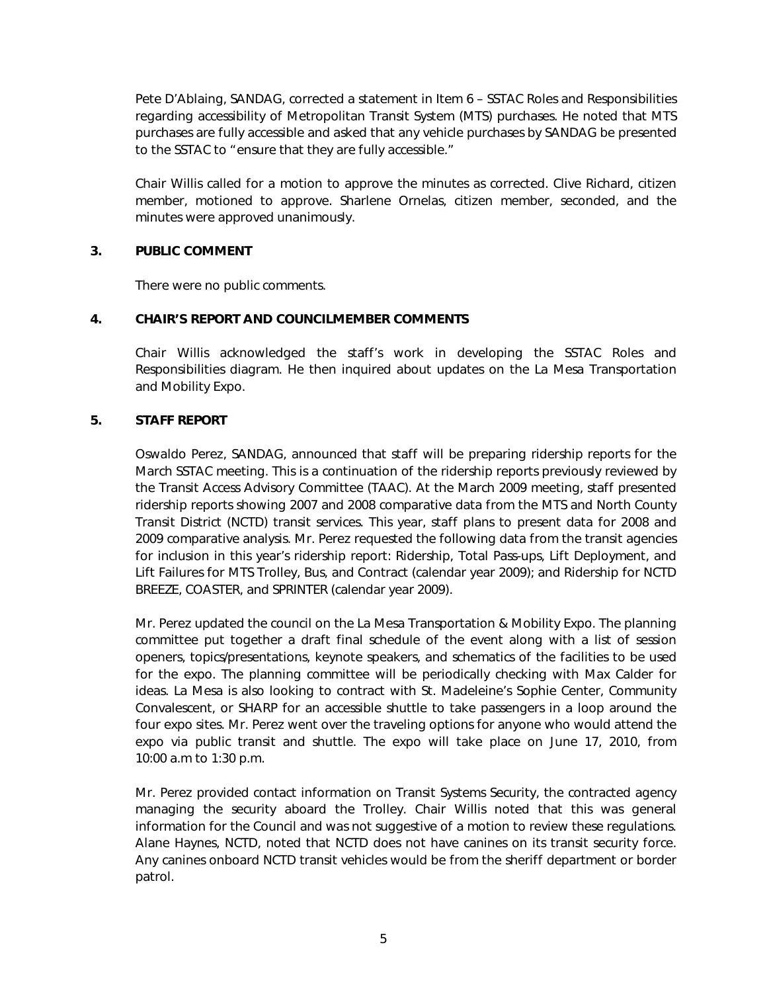Pete D'Ablaing, SANDAG, corrected a statement in Item 6 – SSTAC Roles and Responsibilities regarding accessibility of Metropolitan Transit System (MTS) purchases. He noted that MTS purchases are fully accessible and asked that any vehicle purchases by SANDAG be presented to the SSTAC to "ensure that they are fully accessible."

Chair Willis called for a motion to approve the minutes as corrected. Clive Richard, citizen member, motioned to approve. Sharlene Ornelas, citizen member, seconded, and the minutes were approved unanimously.

#### 3. PUBLIC COMMENT

There were no public comments.

#### 4. CHAIR'S REPORT AND COUNCILMEMBER COMMENTS

Chair Willis acknowledged the staff's work in developing the SSTAC Roles and Responsibilities diagram. He then inquired about updates on the La Mesa Transportation and Mobility Expo.

#### 5. STAFF REPORT

Oswaldo Perez, SANDAG, announced that staff will be preparing ridership reports for the March SSTAC meeting. This is a continuation of the ridership reports previously reviewed by the Transit Access Advisory Committee (TAAC). At the March 2009 meeting, staff presented ridership reports showing 2007 and 2008 comparative data from the MTS and North County Transit District (NCTD) transit services. This year, staff plans to present data for 2008 and 2009 comparative analysis. Mr. Perez requested the following data from the transit agencies for inclusion in this year's ridership report: Ridership, Total Pass-ups, Lift Deployment, and Lift Failures for MTS Trolley, Bus, and Contract (calendar year 2009); and Ridership for NCTD BREEZE, COASTER, and SPRINTER (calendar year 2009).

Mr. Perez updated the council on the La Mesa Transportation & Mobility Expo. The planning committee put together a draft final schedule of the event along with a list of session openers, topics/presentations, keynote speakers, and schematics of the facilities to be used for the expo. The planning committee will be periodically checking with Max Calder for ideas. La Mesa is also looking to contract with St. Madeleine's Sophie Center, Community Convalescent, or SHARP for an accessible shuttle to take passengers in a loop around the four expo sites. Mr. Perez went over the traveling options for anyone who would attend the expo via public transit and shuttle. The expo will take place on June 17, 2010, from 10:00 a.m to 1:30 p.m.

Mr. Perez provided contact information on Transit Systems Security, the contracted agency managing the security aboard the Trolley. Chair Willis noted that this was general information for the Council and was not suggestive of a motion to review these regulations. Alane Haynes, NCTD, noted that NCTD does not have canines on its transit security force. Any canines onboard NCTD transit vehicles would be from the sheriff department or border patrol.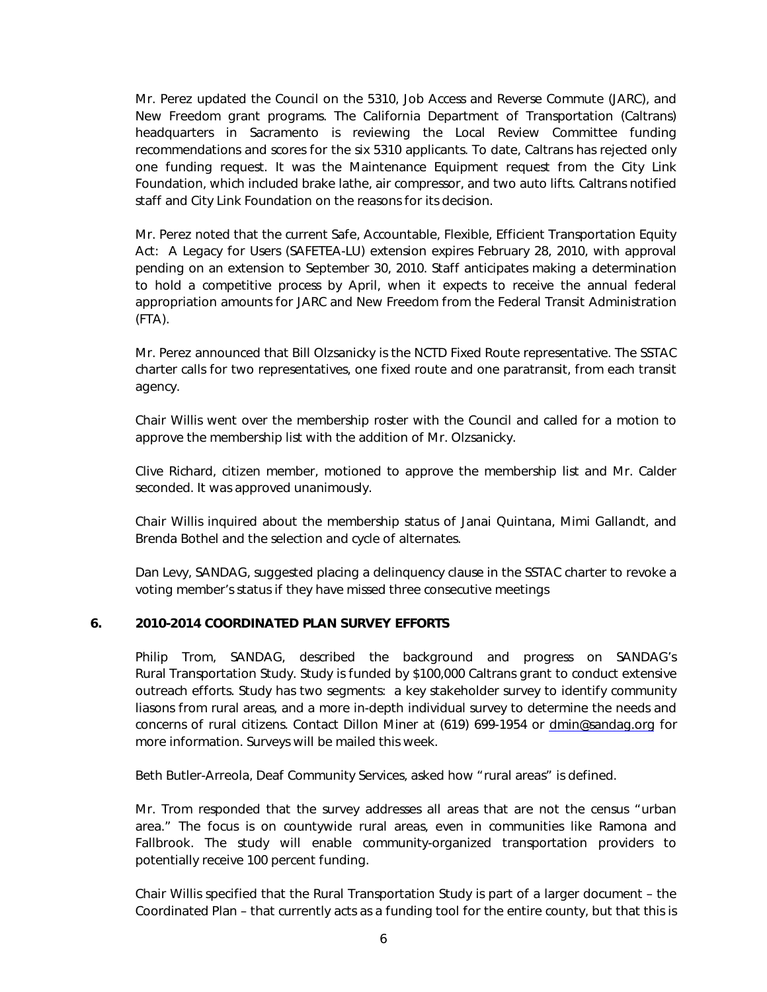Mr. Perez updated the Council on the 5310, Job Access and Reverse Commute (JARC), and New Freedom grant programs. The California Department of Transportation (Caltrans) headquarters in Sacramento is reviewing the Local Review Committee funding recommendations and scores for the six 5310 applicants. To date, Caltrans has rejected only one funding request. It was the Maintenance Equipment request from the City Link Foundation, which included brake lathe, air compressor, and two auto lifts. Caltrans notified staff and City Link Foundation on the reasons for its decision.

Mr. Perez noted that the current Safe, Accountable, Flexible, Efficient Transportation Equity Act: A Legacy for Users (SAFETEA-LU) extension expires February 28, 2010, with approval pending on an extension to September 30, 2010. Staff anticipates making a determination to hold a competitive process by April, when it expects to receive the annual federal appropriation amounts for JARC and New Freedom from the Federal Transit Administration (FTA).

Mr. Perez announced that Bill Olzsanicky is the NCTD Fixed Route representative. The SSTAC charter calls for two representatives, one fixed route and one paratransit, from each transit agency.

Chair Willis went over the membership roster with the Council and called for a motion to approve the membership list with the addition of Mr. Olzsanicky.

Clive Richard, citizen member, motioned to approve the membership list and Mr. Calder seconded. It was approved unanimously.

Chair Willis inquired about the membership status of Janai Quintana, Mimi Gallandt, and Brenda Bothel and the selection and cycle of alternates.

Dan Levy, SANDAG, suggested placing a delinquency clause in the SSTAC charter to revoke a voting member's status if they have missed three consecutive meetings

#### 6. 2010-2014 COORDINATED PLAN SURVEY EFFORTS

Philip Trom, SANDAG, described the background and progress on SANDAG's Rural Transportation Study. Study is funded by \$100,000 Caltrans grant to conduct extensive outreach efforts. Study has two segments: a key stakeholder survey to identify community liasons from rural areas, and a more in-depth individual survey to determine the needs and concerns of rural citizens. Contact Dillon Miner at (619) 699-1954 or dmin@sandag.org for more information. Surveys will be mailed this week.

Beth Butler-Arreola, Deaf Community Services, asked how "rural areas" is defined.

Mr. Trom responded that the survey addresses all areas that are not the census "urban area." The focus is on countywide rural areas, even in communities like Ramona and Fallbrook. The study will enable community-organized transportation providers to potentially receive 100 percent funding.

Chair Willis specified that the Rural Transportation Study is part of a larger document – the Coordinated Plan – that currently acts as a funding tool for the entire county, but that this is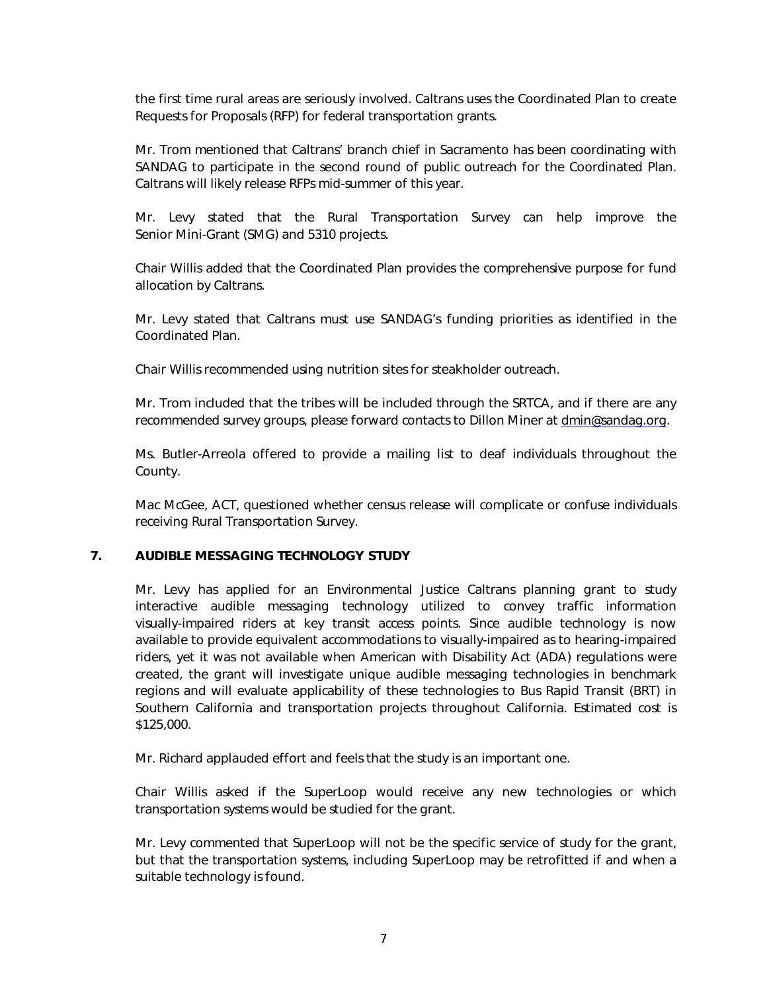the first time rural areas are seriously involved. Caltrans uses the Coordinated Plan to create Requests for Proposals (RFP) for federal transportation grants.

Mr. Trom mentioned that Caltrans' branch chief in Sacramento has been coordinating with SANDAG to participate in the second round of public outreach for the Coordinated Plan. Caltrans will likely release RFPs mid-summer of this year.

Mr. Levy stated that the Rural Transportation Survey can help improve the Senior Mini-Grant (SMG) and 5310 projects.

Chair Willis added that the Coordinated Plan provides the comprehensive purpose for fund allocation by Caltrans.

Mr. Levy stated that Caltrans must use SANDAG's funding priorities as identified in the Coordinated Plan.

Chair Willis recommended using nutrition sites for steakholder outreach.

Mr. Trom included that the tribes will be included through the SRTCA, and if there are any recommended survey groups, please forward contacts to Dillon Miner at dmin@sandaq.orq.

Ms. Butler-Arreola offered to provide a mailing list to deaf individuals throughout the County.

Mac McGee, ACT, questioned whether census release will complicate or confuse individuals receiving Rural Transportation Survey.

#### 7. AUDIBLE MESSAGING TECHNOLOGY STUDY

Mr. Levy has applied for an Environmental Justice Caltrans planning grant to study interactive audible messaging technology utilized to convey traffic information visually-impaired riders at key transit access points. Since audible technology is now available to provide equivalent accommodations to visually-impaired as to hearing-impaired riders, yet it was not available when American with Disability Act (ADA) regulations were created, the grant will investigate unique audible messaging technologies in benchmark regions and will evaluate applicability of these technologies to Bus Rapid Transit (BRT) in Southern California and transportation projects throughout California. Estimated cost is \$125,000.

Mr. Richard applauded effort and feels that the study is an important one.

Chair Willis asked if the SuperLoop would receive any new technologies or which transportation systems would be studied for the grant.

Mr. Levy commented that SuperLoop will not be the specific service of study for the grant, but that the transportation systems, including SuperLoop may be retrofitted if and when a suitable technology is found.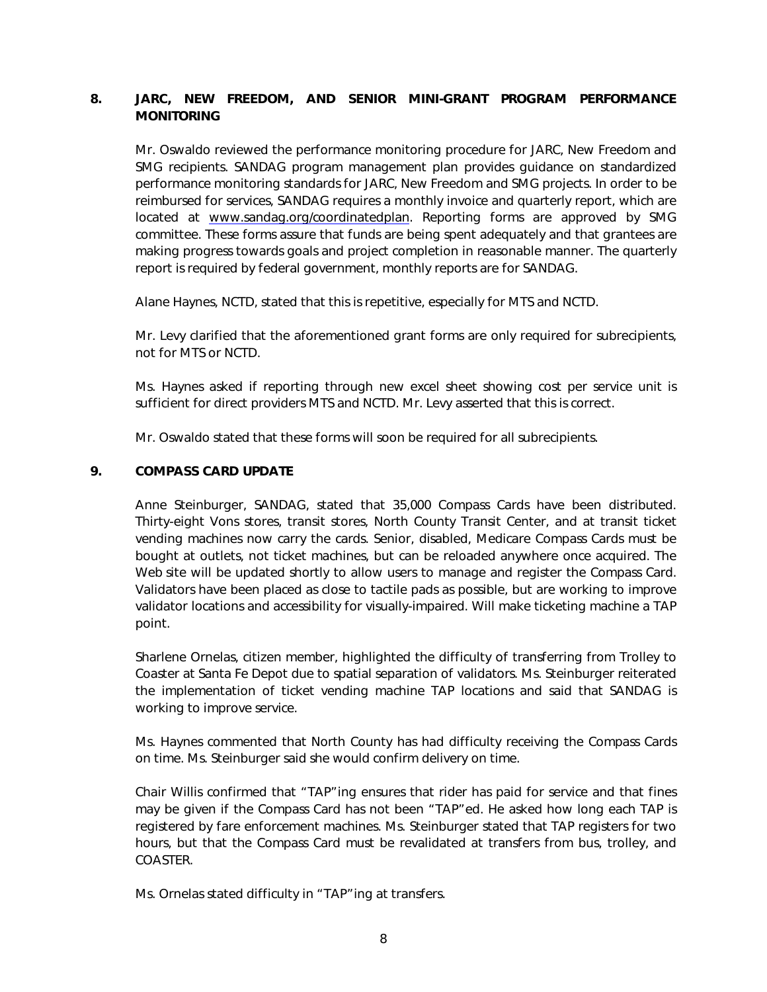#### 8. JARC, NEW FREEDOM, AND SENIOR MINI-GRANT PROGRAM PERFORMANCE **MONITORING**

Mr. Oswaldo reviewed the performance monitoring procedure for JARC, New Freedom and SMG recipients. SANDAG program management plan provides guidance on standardized performance monitoring standards for JARC, New Freedom and SMG projects. In order to be reimbursed for services, SANDAG requires a monthly invoice and quarterly report, which are located at www.sandag.org/coordinatedplan. Reporting forms are approved by SMG committee. These forms assure that funds are being spent adequately and that grantees are making progress towards goals and project completion in reasonable manner. The quarterly report is required by federal government, monthly reports are for SANDAG.

Alane Haynes, NCTD, stated that this is repetitive, especially for MTS and NCTD.

Mr. Levy clarified that the aforementioned grant forms are only required for subrecipients, not for MTS or NCTD.

Ms. Haynes asked if reporting through new excel sheet showing cost per service unit is sufficient for direct providers MTS and NCTD. Mr. Levy asserted that this is correct.

Mr. Oswaldo stated that these forms will soon be required for all subrecipients.

#### 9. COMPASS CARD UPDATE

Anne Steinburger, SANDAG, stated that 35,000 Compass Cards have been distributed. Thirty-eight Vons stores, transit stores, North County Transit Center, and at transit ticket vending machines now carry the cards. Senior, disabled, Medicare Compass Cards must be bought at outlets, not ticket machines, but can be reloaded anywhere once acquired. The Web site will be updated shortly to allow users to manage and register the Compass Card. Validators have been placed as close to tactile pads as possible, but are working to improve validator locations and accessibility for visually-impaired. Will make ticketing machine a TAP point.

Sharlene Ornelas, citizen member, highlighted the difficulty of transferring from Trolley to Coaster at Santa Fe Depot due to spatial separation of validators. Ms. Steinburger reiterated the implementation of ticket vending machine TAP locations and said that SANDAG is working to improve service.

Ms. Haynes commented that North County has had difficulty receiving the Compass Cards on time. Ms. Steinburger said she would confirm delivery on time.

Chair Willis confirmed that "TAP"ing ensures that rider has paid for service and that fines may be given if the Compass Card has not been "TAP"ed. He asked how long each TAP is registered by fare enforcement machines. Ms. Steinburger stated that TAP registers for two hours, but that the Compass Card must be revalidated at transfers from bus, trolley, and COASTER.

Ms. Ornelas stated difficulty in "TAP"ing at transfers.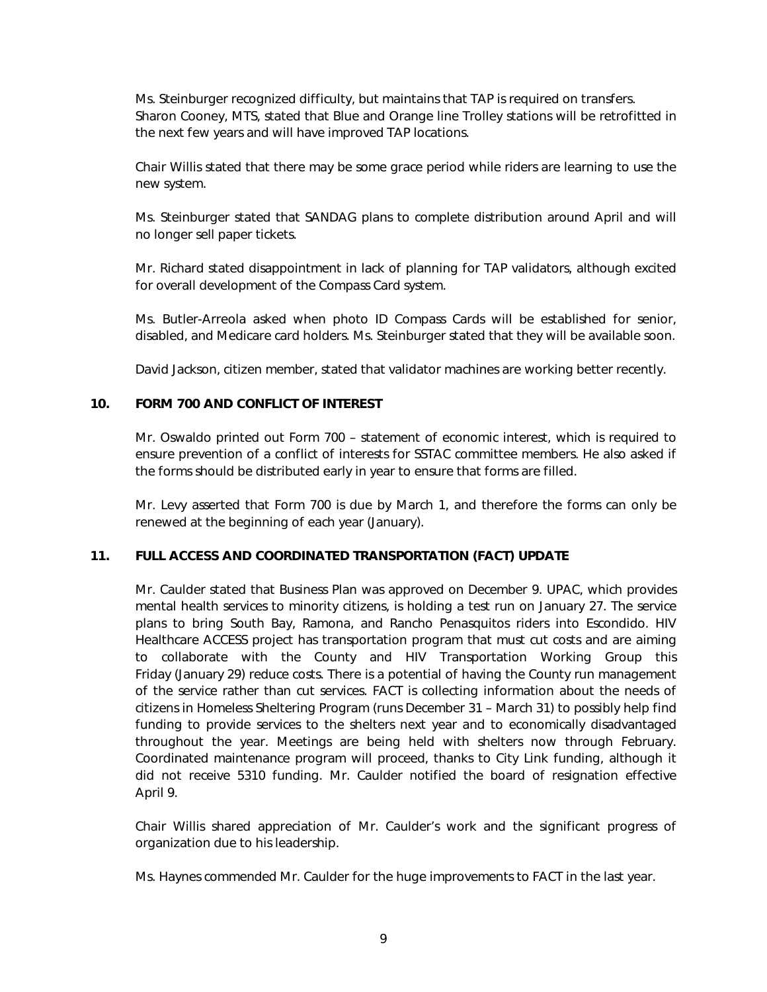Ms. Steinburger recognized difficulty, but maintains that TAP is required on transfers. Sharon Cooney, MTS, stated that Blue and Orange line Trolley stations will be retrofitted in the next few years and will have improved TAP locations.

Chair Willis stated that there may be some grace period while riders are learning to use the new system.

Ms. Steinburger stated that SANDAG plans to complete distribution around April and will no longer sell paper tickets.

Mr. Richard stated disappointment in lack of planning for TAP validators, although excited for overall development of the Compass Card system.

Ms. Butler-Arreola asked when photo ID Compass Cards will be established for senior, disabled, and Medicare card holders. Ms. Steinburger stated that they will be available soon.

David Jackson, citizen member, stated that validator machines are working better recently.

#### 10. FORM 700 AND CONFLICT OF INTEREST

Mr. Oswaldo printed out Form 700 – statement of economic interest, which is required to ensure prevention of a conflict of interests for SSTAC committee members. He also asked if the forms should be distributed early in year to ensure that forms are filled.

Mr. Levy asserted that Form 700 is due by March 1, and therefore the forms can only be renewed at the beginning of each year (January).

#### 11. FULL ACCESS AND COORDINATED TRANSPORTATION (FACT) UPDATE

Mr. Caulder stated that Business Plan was approved on December 9. UPAC, which provides mental health services to minority citizens, is holding a test run on January 27. The service plans to bring South Bay, Ramona, and Rancho Penasquitos riders into Escondido. HIV Healthcare ACCESS project has transportation program that must cut costs and are aiming to collaborate with the County and HIV Transportation Working Group this Friday (January 29) reduce costs. There is a potential of having the County run management of the service rather than cut services. FACT is collecting information about the needs of citizens in Homeless Sheltering Program (runs December 31 – March 31) to possibly help find funding to provide services to the shelters next year and to economically disadvantaged throughout the year. Meetings are being held with shelters now through February. Coordinated maintenance program will proceed, thanks to City Link funding, although it did not receive 5310 funding. Mr. Caulder notified the board of resignation effective April 9.

Chair Willis shared appreciation of Mr. Caulder's work and the significant progress of organization due to his leadership.

Ms. Haynes commended Mr. Caulder for the huge improvements to FACT in the last year.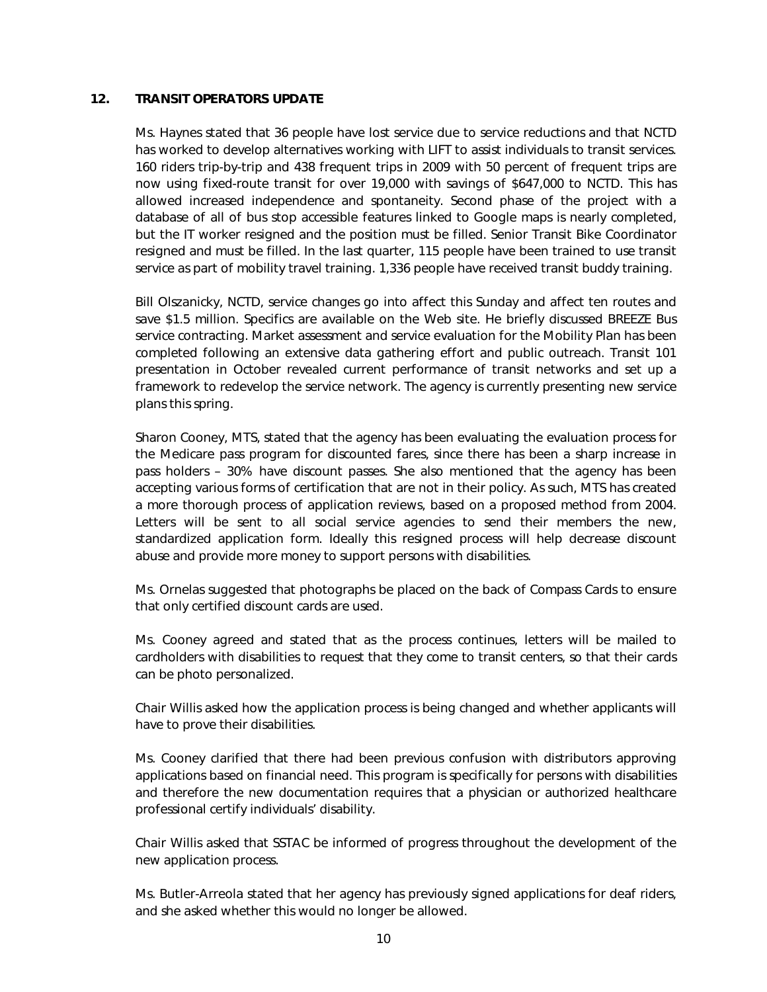#### 12. TRANSIT OPERATORS UPDATE

Ms. Haynes stated that 36 people have lost service due to service reductions and that NCTD has worked to develop alternatives working with LIFT to assist individuals to transit services. 160 riders trip-by-trip and 438 frequent trips in 2009 with 50 percent of frequent trips are now using fixed-route transit for over 19,000 with savings of \$647,000 to NCTD. This has allowed increased independence and spontaneity. Second phase of the project with a database of all of bus stop accessible features linked to Google maps is nearly completed, but the IT worker resigned and the position must be filled. Senior Transit Bike Coordinator resigned and must be filled. In the last quarter, 115 people have been trained to use transit service as part of mobility travel training. 1,336 people have received transit buddy training.

Bill Olszanicky, NCTD, service changes go into affect this Sunday and affect ten routes and save \$1.5 million. Specifics are available on the Web site. He briefly discussed BREEZE Bus service contracting. Market assessment and service evaluation for the Mobility Plan has been completed following an extensive data gathering effort and public outreach. Transit 101 presentation in October revealed current performance of transit networks and set up a framework to redevelop the service network. The agency is currently presenting new service plans this spring.

Sharon Cooney, MTS, stated that the agency has been evaluating the evaluation process for the Medicare pass program for discounted fares, since there has been a sharp increase in pass holders – 30% have discount passes. She also mentioned that the agency has been accepting various forms of certification that are not in their policy. As such, MTS has created a more thorough process of application reviews, based on a proposed method from 2004. Letters will be sent to all social service agencies to send their members the new, standardized application form. Ideally this resigned process will help decrease discount abuse and provide more money to support persons with disabilities.

Ms. Ornelas suggested that photographs be placed on the back of Compass Cards to ensure that only certified discount cards are used.

Ms. Cooney agreed and stated that as the process continues, letters will be mailed to cardholders with disabilities to request that they come to transit centers, so that their cards can be photo personalized.

Chair Willis asked how the application process is being changed and whether applicants will have to prove their disabilities.

Ms. Cooney clarified that there had been previous confusion with distributors approving applications based on financial need. This program is specifically for persons with disabilities and therefore the new documentation requires that a physician or authorized healthcare professional certify individuals' disability.

Chair Willis asked that SSTAC be informed of progress throughout the development of the new application process.

Ms. Butler-Arreola stated that her agency has previously signed applications for deaf riders, and she asked whether this would no longer be allowed.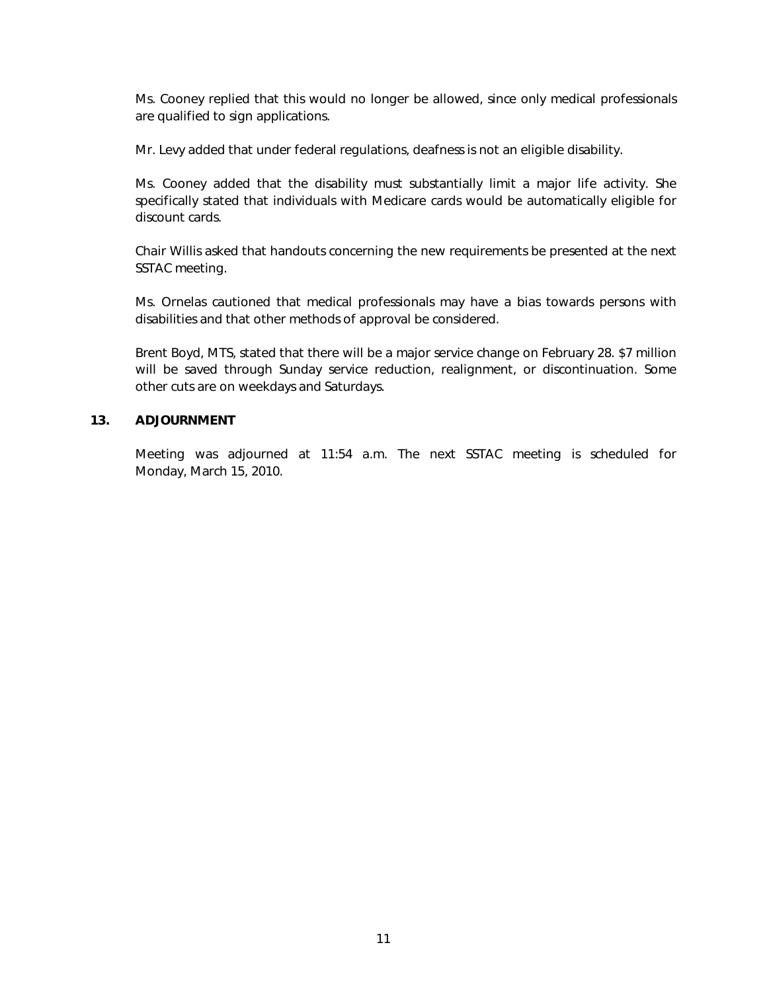Ms. Cooney replied that this would no longer be allowed, since only medical professionals are qualified to sign applications.

Mr. Levy added that under federal regulations, deafness is not an eligible disability.

Ms. Cooney added that the disability must substantially limit a major life activity. She specifically stated that individuals with Medicare cards would be automatically eligible for discount cards.

Chair Willis asked that handouts concerning the new requirements be presented at the next SSTAC meeting.

Ms. Ornelas cautioned that medical professionals may have a bias towards persons with disabilities and that other methods of approval be considered.

Brent Boyd, MTS, stated that there will be a major service change on February 28. \$7 million will be saved through Sunday service reduction, realignment, or discontinuation. Some other cuts are on weekdays and Saturdays.

#### 13. ADJOURNMENT

Meeting was adjourned at 11:54 a.m. The next SSTAC meeting is scheduled for Monday, March 15, 2010.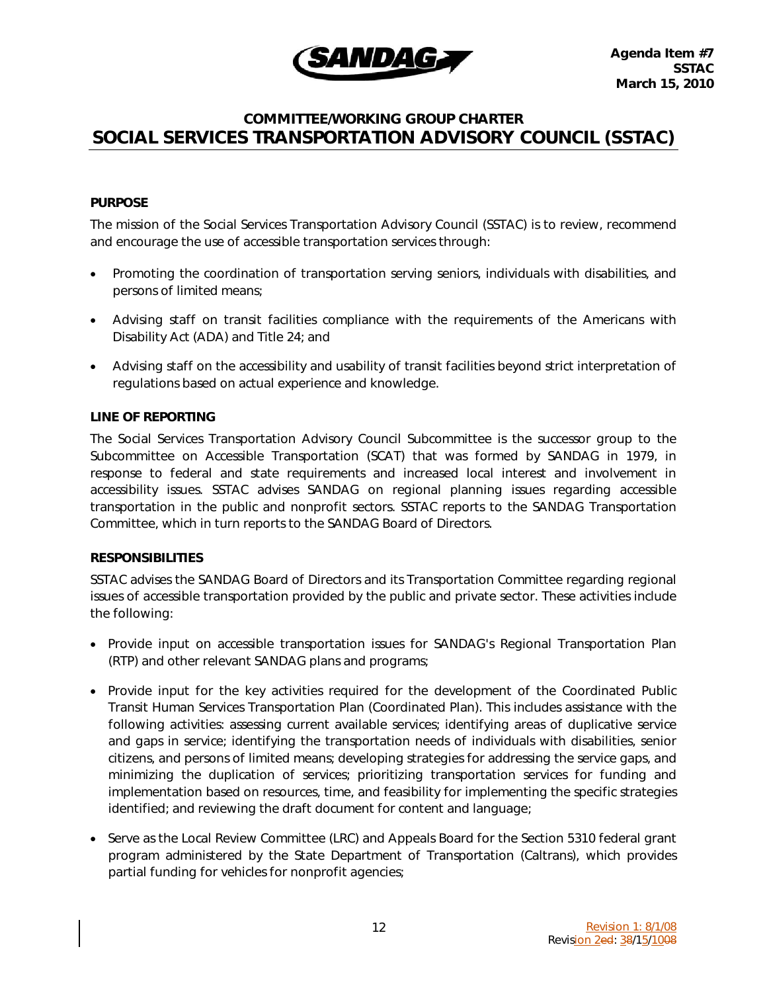

### COMMITTEE/WORKING GROUP CHARTER SOCIAL SERVICES TRANSPORTATION ADVISORY COUNCIL (SSTAC)

#### **PURPOSE**

The mission of the Social Services Transportation Advisory Council (SSTAC) is to review, recommend and encourage the use of accessible transportation services through:

- Promoting the coordination of transportation serving seniors, individuals with disabilities, and persons of limited means;
- Advising staff on transit facilities compliance with the requirements of the Americans with Disability Act (ADA) and Title 24; and
- Advising staff on the accessibility and usability of transit facilities beyond strict interpretation of regulations based on actual experience and knowledge.

#### LINE OF REPORTING

The Social Services Transportation Advisory Council Subcommittee is the successor group to the Subcommittee on Accessible Transportation (SCAT) that was formed by SANDAG in 1979, in response to federal and state requirements and increased local interest and involvement in accessibility issues. SSTAC advises SANDAG on regional planning issues regarding accessible transportation in the public and nonprofit sectors. SSTAC reports to the SANDAG Transportation Committee, which in turn reports to the SANDAG Board of Directors.

#### **RESPONSIBILITIES**

SSTAC advises the SANDAG Board of Directors and its Transportation Committee regarding regional issues of accessible transportation provided by the public and private sector. These activities include the following:

- Provide input on accessible transportation issues for SANDAG's Regional Transportation Plan (RTP) and other relevant SANDAG plans and programs;
- Provide input for the key activities required for the development of the Coordinated Public Transit Human Services Transportation Plan (Coordinated Plan). This includes assistance with the following activities: assessing current available services; identifying areas of duplicative service and gaps in service; identifying the transportation needs of individuals with disabilities, senior citizens, and persons of limited means; developing strategies for addressing the service gaps, and minimizing the duplication of services; prioritizing transportation services for funding and implementation based on resources, time, and feasibility for implementing the specific strategies identified; and reviewing the draft document for content and language;
- Serve as the Local Review Committee (LRC) and Appeals Board for the Section 5310 federal grant program administered by the State Department of Transportation (Caltrans), which provides partial funding for vehicles for nonprofit agencies;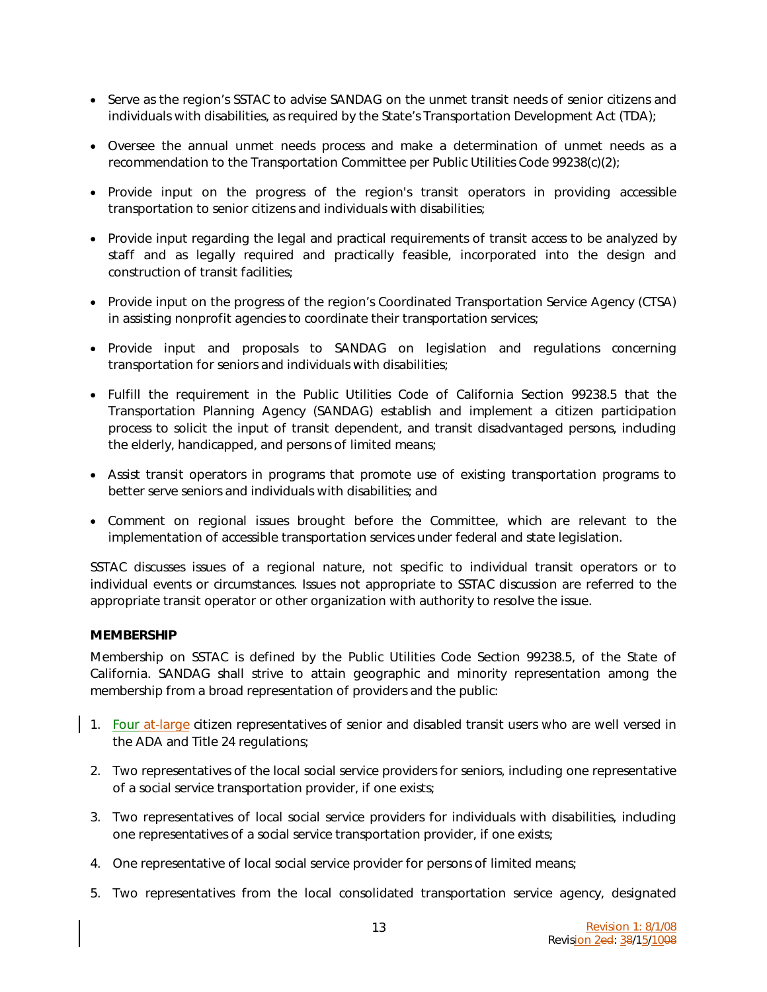- Serve as the region's SSTAC to advise SANDAG on the unmet transit needs of senior citizens and individuals with disabilities, as required by the State's Transportation Development Act (TDA);
- Oversee the annual unmet needs process and make a determination of unmet needs as a recommendation to the Transportation Committee per Public Utilities Code 99238(c)(2);
- Provide input on the progress of the region's transit operators in providing accessible transportation to senior citizens and individuals with disabilities;
- Provide input regarding the legal and practical requirements of transit access to be analyzed by staff and as legally required and practically feasible, incorporated into the design and construction of transit facilities;
- Provide input on the progress of the region's Coordinated Transportation Service Agency (CTSA) in assisting nonprofit agencies to coordinate their transportation services;
- Provide input and proposals to SANDAG on legislation and regulations concerning transportation for seniors and individuals with disabilities;
- Fulfill the requirement in the Public Utilities Code of California Section 99238.5 that the Transportation Planning Agency (SANDAG) establish and implement a citizen participation process to solicit the input of transit dependent, and transit disadvantaged persons, including the elderly, handicapped, and persons of limited means;
- Assist transit operators in programs that promote use of existing transportation programs to better serve seniors and individuals with disabilities; and
- Comment on regional issues brought before the Committee, which are relevant to the implementation of accessible transportation services under federal and state legislation.

SSTAC discusses issues of a regional nature, not specific to individual transit operators or to individual events or circumstances. Issues not appropriate to SSTAC discussion are referred to the appropriate transit operator or other organization with authority to resolve the issue.

#### MEMBERSHIP

Membership on SSTAC is defined by the Public Utilities Code Section 99238.5, of the State of California. SANDAG shall strive to attain geographic and minority representation among the membership from a broad representation of providers and the public:

- 1. Four at-large citizen representatives of senior and disabled transit users who are well versed in the ADA and Title 24 regulations;
- 2. Two representatives of the local social service providers for seniors, including one representative of a social service transportation provider, if one exists;
- 3. Two representatives of local social service providers for individuals with disabilities, including one representatives of a social service transportation provider, if one exists;
- 4. One representative of local social service provider for persons of limited means;
- 5. Two representatives from the local consolidated transportation service agency, designated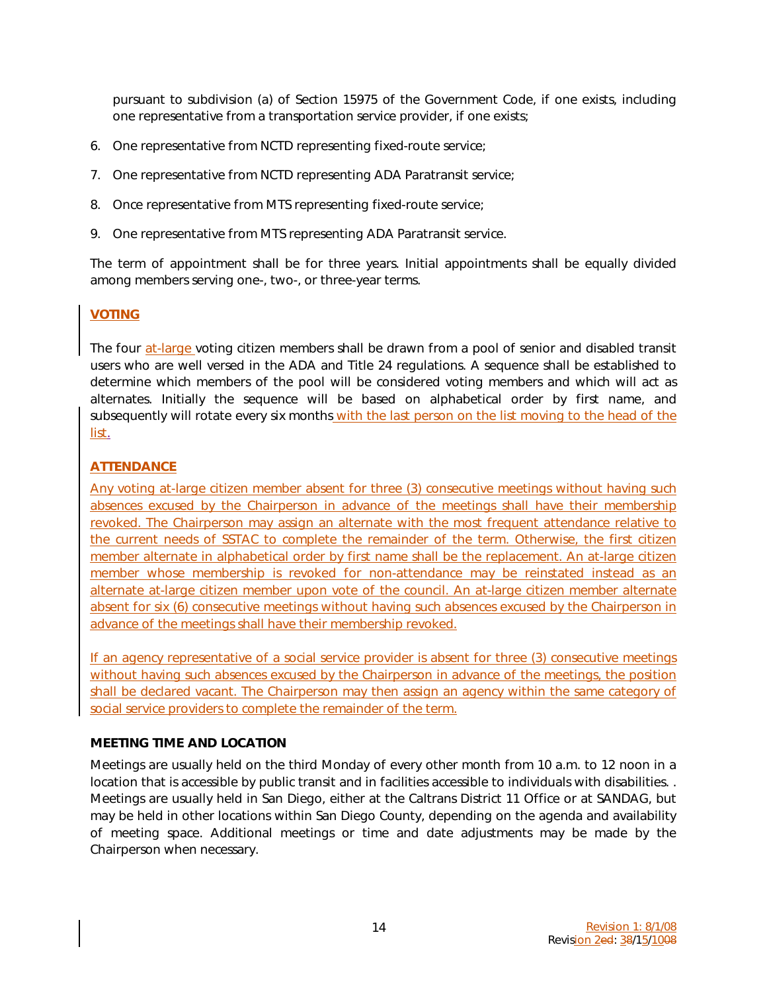pursuant to subdivision (a) of Section 15975 of the Government Code, if one exists, including one representative from a transportation service provider, if one exists;

- 6. One representative from NCTD representing fixed-route service;
- 7. One representative from NCTD representing ADA Paratransit service;
- 8. Once representative from MTS representing fixed-route service;
- 9. One representative from MTS representing ADA Paratransit service.

The term of appointment shall be for three years. Initial appointments shall be equally divided among members serving one-, two-, or three-year terms.

#### VOTING

The four at-large voting citizen members shall be drawn from a pool of senior and disabled transit users who are well versed in the ADA and Title 24 regulations. A sequence shall be established to determine which members of the pool will be considered voting members and which will act as alternates. Initially the sequence will be based on alphabetical order by first name, and subsequently will rotate every six months with the last person on the list moving to the head of the list.

#### **ATTENDANCE**

Any voting at-large citizen member absent for three (3) consecutive meetings without having such absences excused by the Chairperson in advance of the meetings shall have their membership revoked. The Chairperson may assign an alternate with the most frequent attendance relative to the current needs of SSTAC to complete the remainder of the term. Otherwise, the first citizen member alternate in alphabetical order by first name shall be the replacement. An at-large citizen member whose membership is revoked for non-attendance may be reinstated instead as an alternate at-large citizen member upon vote of the council. An at-large citizen member alternate absent for six (6) consecutive meetings without having such absences excused by the Chairperson in advance of the meetings shall have their membership revoked.

If an agency representative of a social service provider is absent for three (3) consecutive meetings without having such absences excused by the Chairperson in advance of the meetings, the position shall be declared vacant. The Chairperson may then assign an agency within the same category of social service providers to complete the remainder of the term.

#### MEETING TIME AND LOCATION

Meetings are usually held on the third Monday of every other month from 10 a.m. to 12 noon in a location that is accessible by public transit and in facilities accessible to individuals with disabilities. . Meetings are usually held in San Diego, either at the Caltrans District 11 Office or at SANDAG, but may be held in other locations within San Diego County, depending on the agenda and availability of meeting space. Additional meetings or time and date adjustments may be made by the Chairperson when necessary.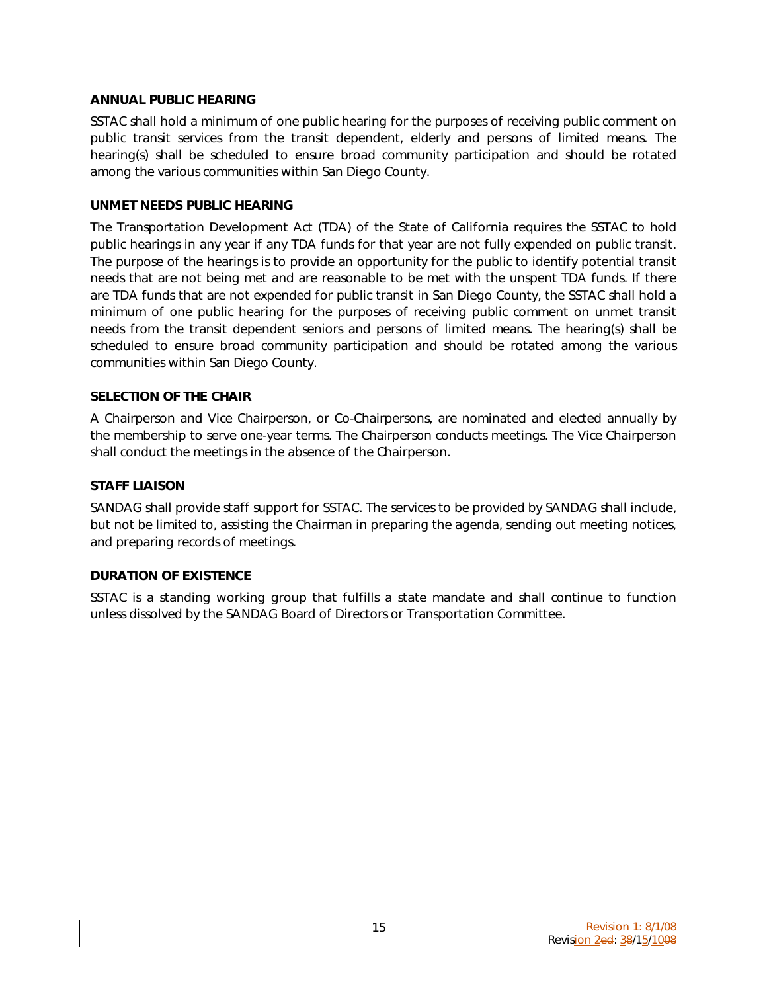#### ANNUAL PUBLIC HEARING

SSTAC shall hold a minimum of one public hearing for the purposes of receiving public comment on public transit services from the transit dependent, elderly and persons of limited means. The hearing(s) shall be scheduled to ensure broad community participation and should be rotated among the various communities within San Diego County.

#### UNMET NEEDS PUBLIC HEARING

The Transportation Development Act (TDA) of the State of California requires the SSTAC to hold public hearings in any year if any TDA funds for that year are not fully expended on public transit. The purpose of the hearings is to provide an opportunity for the public to identify potential transit needs that are not being met and are reasonable to be met with the unspent TDA funds. If there are TDA funds that are not expended for public transit in San Diego County, the SSTAC shall hold a minimum of one public hearing for the purposes of receiving public comment on unmet transit needs from the transit dependent seniors and persons of limited means. The hearing(s) shall be scheduled to ensure broad community participation and should be rotated among the various communities within San Diego County.

#### SELECTION OF THE CHAIR

A Chairperson and Vice Chairperson, or Co-Chairpersons, are nominated and elected annually by the membership to serve one-year terms. The Chairperson conducts meetings. The Vice Chairperson shall conduct the meetings in the absence of the Chairperson.

#### STAFF LIAISON

SANDAG shall provide staff support for SSTAC. The services to be provided by SANDAG shall include, but not be limited to, assisting the Chairman in preparing the agenda, sending out meeting notices, and preparing records of meetings.

#### DURATION OF EXISTENCE

SSTAC is a standing working group that fulfills a state mandate and shall continue to function unless dissolved by the SANDAG Board of Directors or Transportation Committee.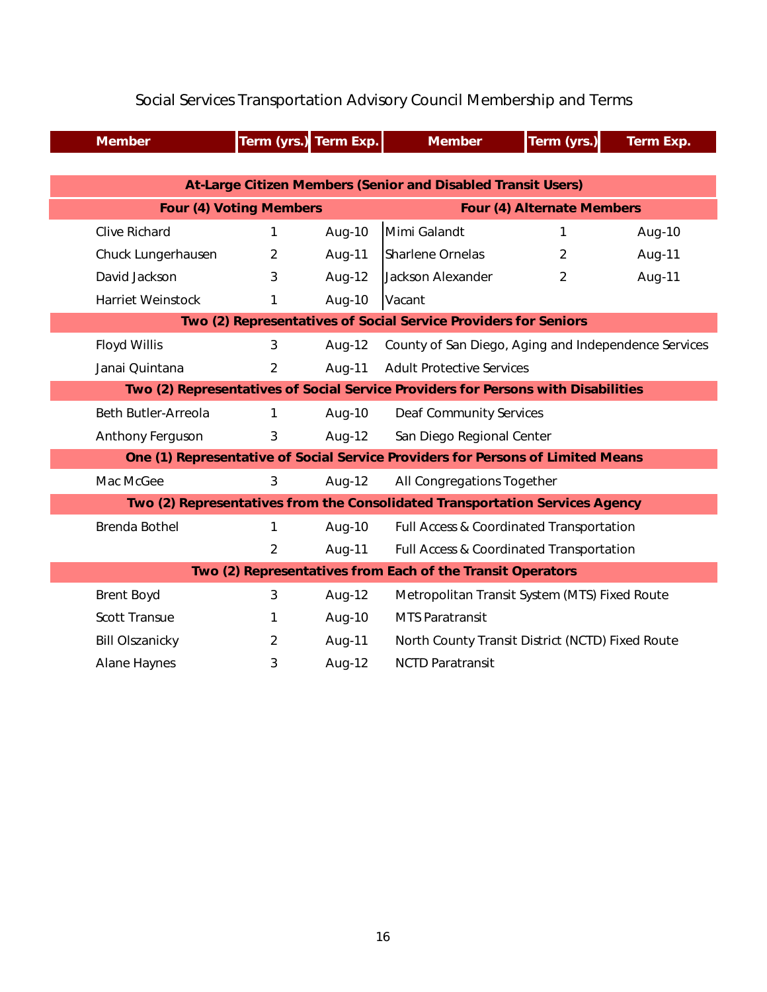|                                                                                   | <b>Member</b>                                              | Term (yrs.) Term Exp.          |        | <b>Member</b>                                        | Term (yrs.)    | Term Exp. |  |  |  |  |  |
|-----------------------------------------------------------------------------------|------------------------------------------------------------|--------------------------------|--------|------------------------------------------------------|----------------|-----------|--|--|--|--|--|
|                                                                                   |                                                            |                                |        |                                                      |                |           |  |  |  |  |  |
| At-Large Citizen Members (Senior and Disabled Transit Users)                      |                                                            |                                |        |                                                      |                |           |  |  |  |  |  |
|                                                                                   |                                                            | <b>Four (4) Voting Members</b> |        | <b>Four (4) Alternate Members</b>                    |                |           |  |  |  |  |  |
|                                                                                   | <b>Clive Richard</b>                                       | 1                              | Aug-10 | Mimi Galandt                                         | 1              | Aug-10    |  |  |  |  |  |
|                                                                                   | Chuck Lungerhausen                                         | $\overline{2}$                 | Aug-11 | <b>Sharlene Ornelas</b>                              | $\overline{2}$ | Aug-11    |  |  |  |  |  |
|                                                                                   | David Jackson                                              | 3                              | Aug-12 | Jackson Alexander                                    | 2              | Aug-11    |  |  |  |  |  |
|                                                                                   | <b>Harriet Weinstock</b>                                   | 1                              | Aug-10 | Vacant                                               |                |           |  |  |  |  |  |
| Two (2) Representatives of Social Service Providers for Seniors                   |                                                            |                                |        |                                                      |                |           |  |  |  |  |  |
|                                                                                   | <b>Floyd Willis</b>                                        | 3                              | Aug-12 | County of San Diego, Aging and Independence Services |                |           |  |  |  |  |  |
|                                                                                   | Janai Quintana                                             | $\overline{2}$                 | Aug-11 | <b>Adult Protective Services</b>                     |                |           |  |  |  |  |  |
| Two (2) Representatives of Social Service Providers for Persons with Disabilities |                                                            |                                |        |                                                      |                |           |  |  |  |  |  |
|                                                                                   | <b>Beth Butler-Arreola</b>                                 | 1                              | Aug-10 | <b>Deaf Community Services</b>                       |                |           |  |  |  |  |  |
|                                                                                   | Anthony Ferguson                                           | 3                              | Aug-12 | San Diego Regional Center                            |                |           |  |  |  |  |  |
| One (1) Representative of Social Service Providers for Persons of Limited Means   |                                                            |                                |        |                                                      |                |           |  |  |  |  |  |
|                                                                                   | Mac McGee                                                  | 3                              | Aug-12 | All Congregations Together                           |                |           |  |  |  |  |  |
| Two (2) Representatives from the Consolidated Transportation Services Agency      |                                                            |                                |        |                                                      |                |           |  |  |  |  |  |
|                                                                                   | <b>Brenda Bothel</b>                                       | 1                              | Aug-10 | Full Access & Coordinated Transportation             |                |           |  |  |  |  |  |
|                                                                                   |                                                            | $\overline{2}$                 | Aug-11 | Full Access & Coordinated Transportation             |                |           |  |  |  |  |  |
|                                                                                   | Two (2) Representatives from Each of the Transit Operators |                                |        |                                                      |                |           |  |  |  |  |  |
|                                                                                   | <b>Brent Boyd</b>                                          | 3                              | Aug-12 | Metropolitan Transit System (MTS) Fixed Route        |                |           |  |  |  |  |  |
|                                                                                   | <b>Scott Transue</b>                                       | 1                              | Aug-10 | <b>MTS Paratransit</b>                               |                |           |  |  |  |  |  |
|                                                                                   | <b>Bill Olszanicky</b>                                     | $\overline{2}$                 | Aug-11 | North County Transit District (NCTD) Fixed Route     |                |           |  |  |  |  |  |
|                                                                                   | <b>Alane Haynes</b>                                        | 3                              | Aug-12 | <b>NCTD Paratransit</b>                              |                |           |  |  |  |  |  |

### Social Services Transportation Advisory Council Membership and Terms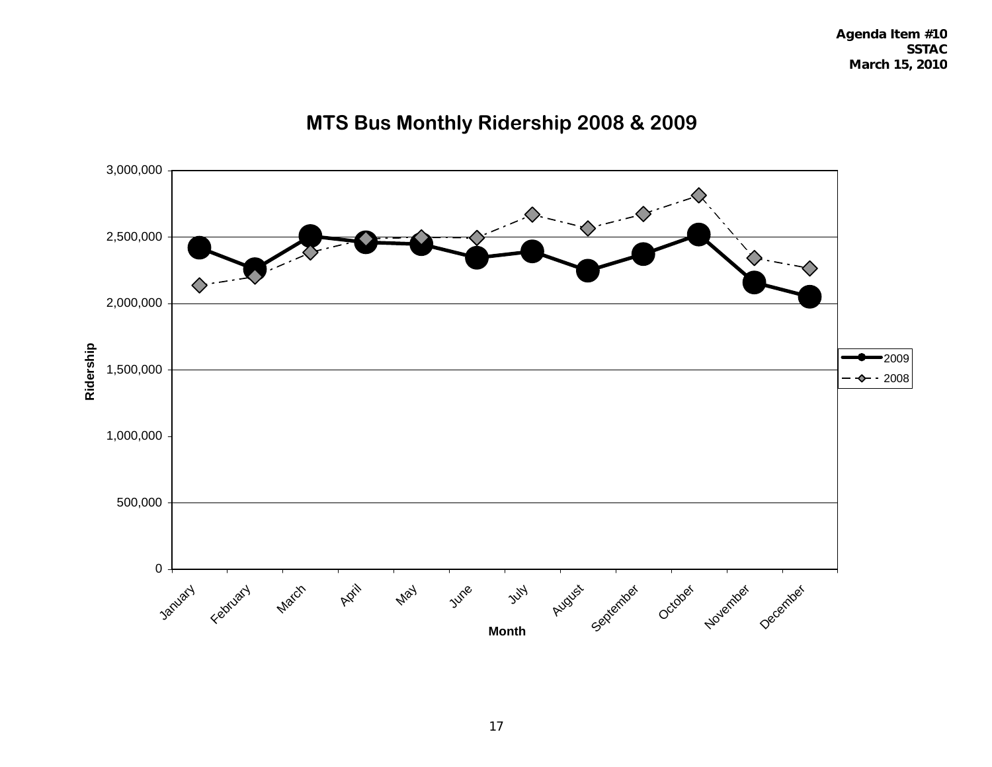

### **MTS Bus Monthly Ridership 2008 & 2009**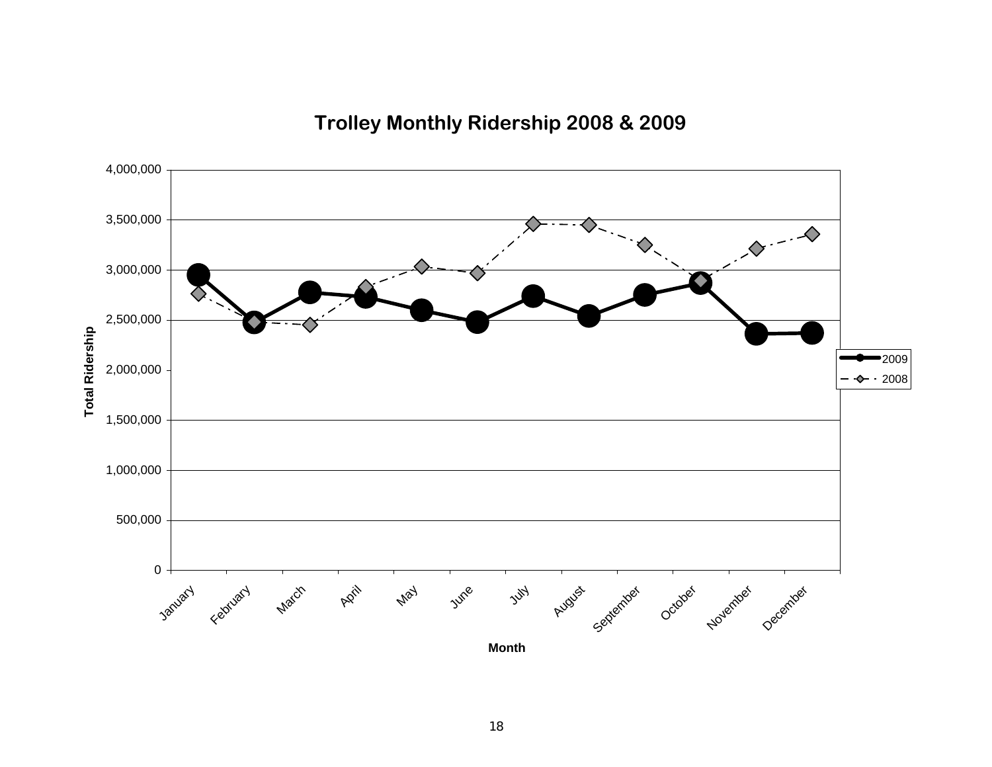**Trolley Monthly Ridership 2008 & 2009**

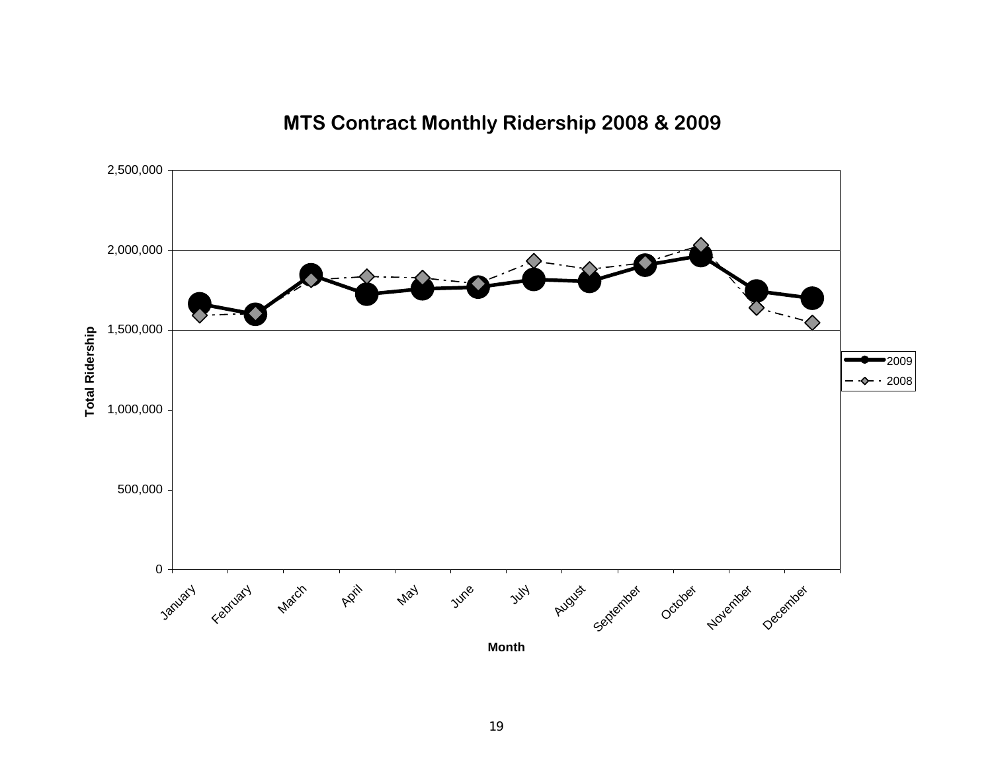### **MTS Contract Monthly Ridership 2008 & 2009**

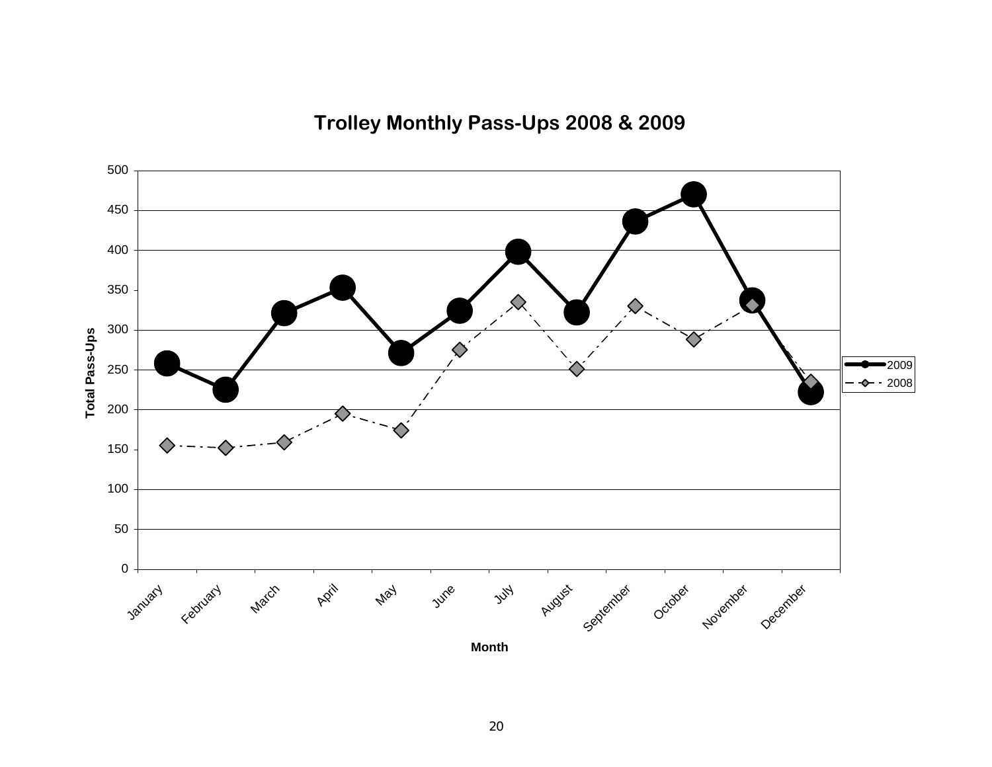**Trolley Monthly Pass-Ups 2008 & 2009**

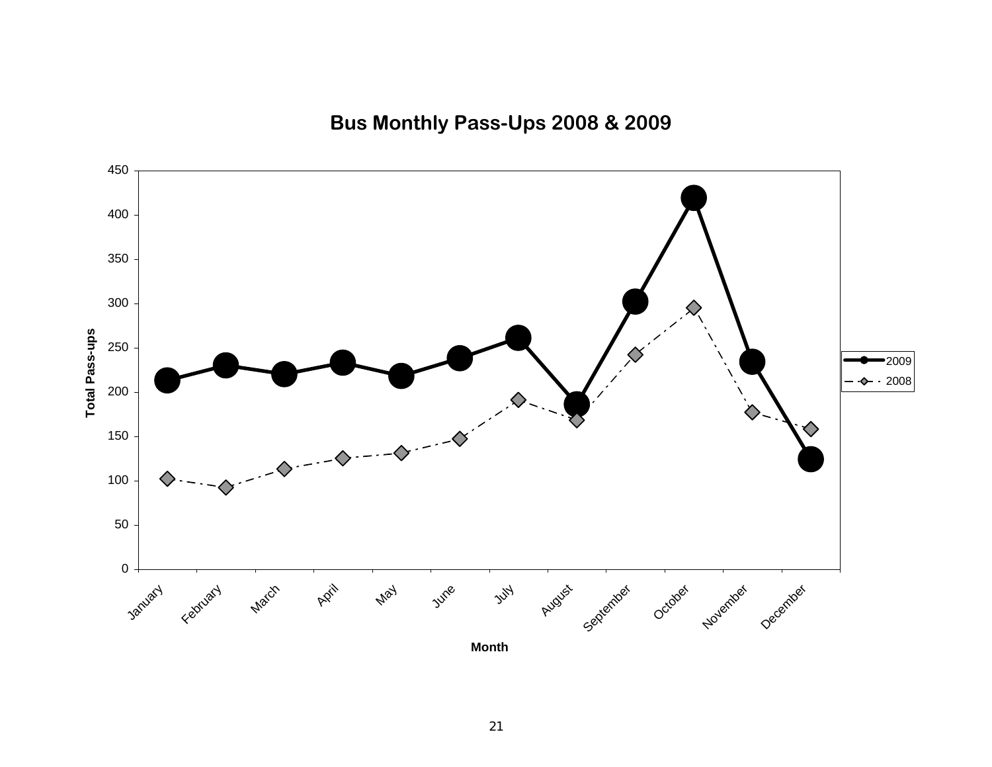**Bus Monthly Pass-Ups 2008 & 2009**

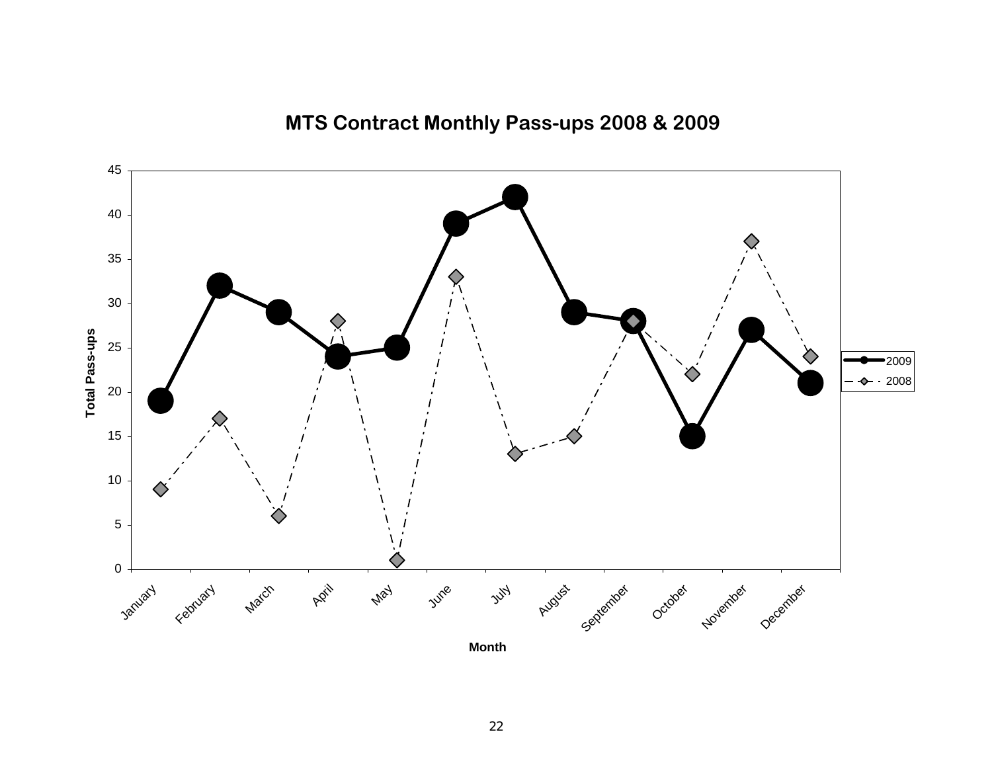

### **MTS Contract Monthly Pass-ups 2008 & 2009**

**Month**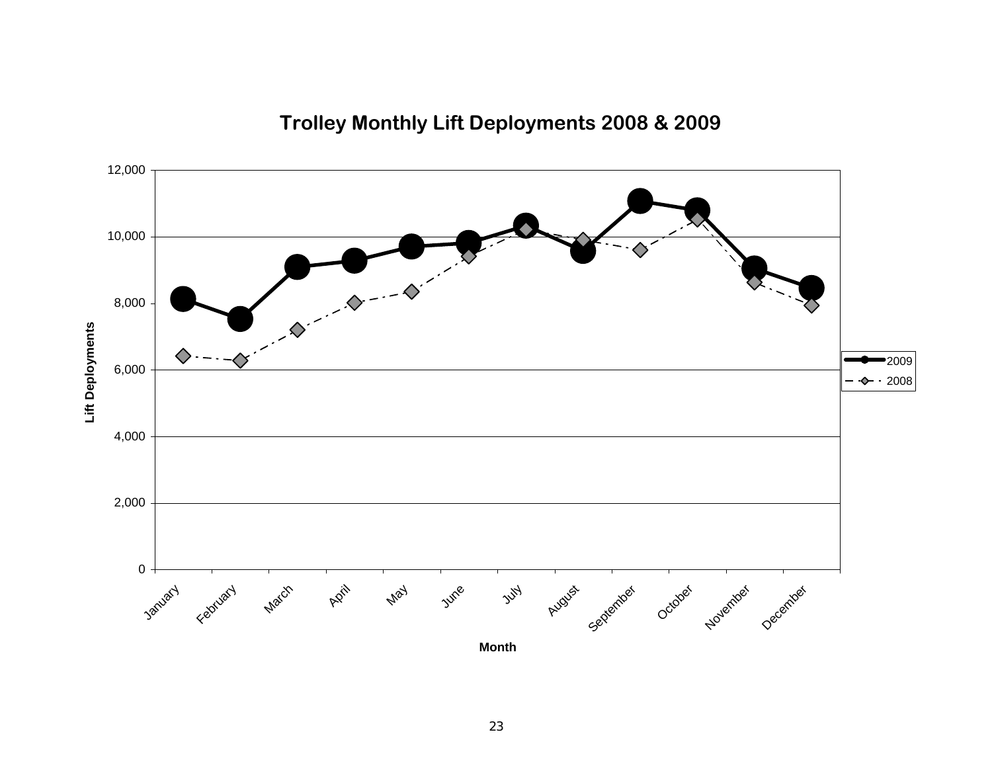

### **Trolley Monthly Lift Deployments 2008 & 2009**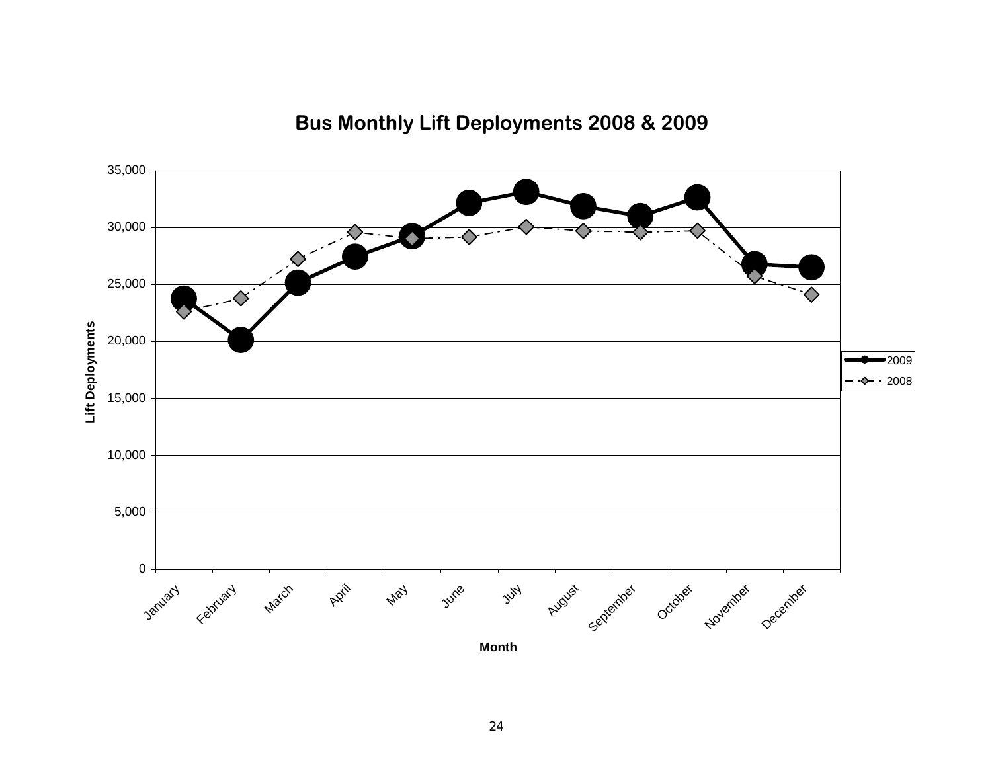

### **Bus Monthly Lift Deployments 2008 & 2009**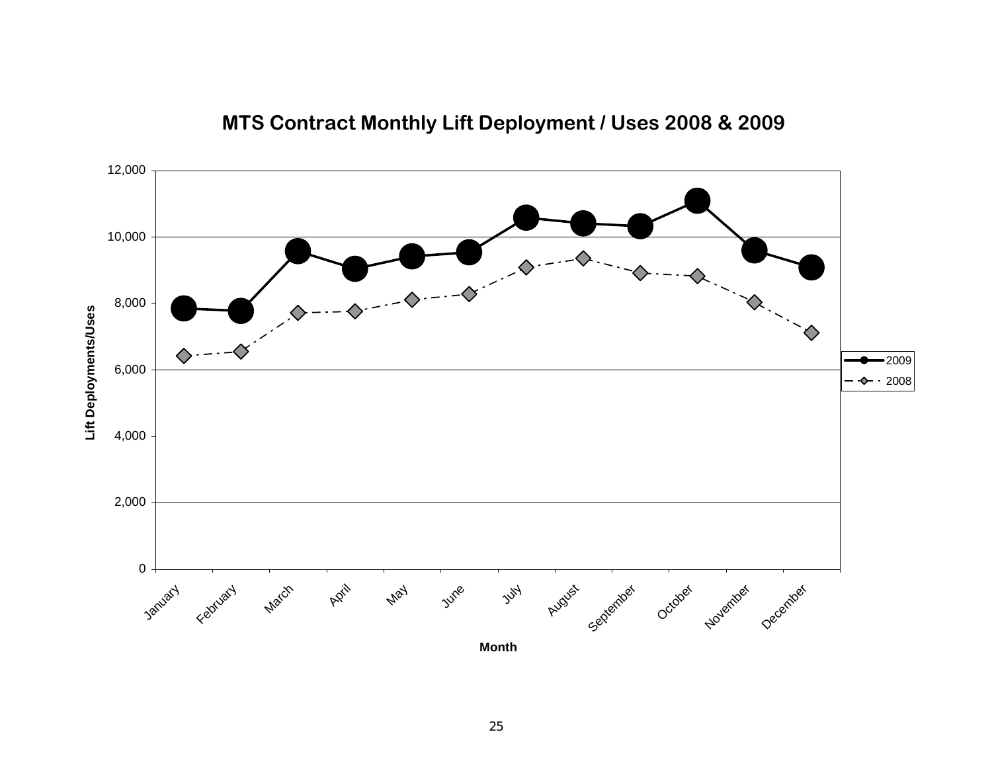

### **MTS Contract Monthly Lift Deployment / Uses 2008 & 2009**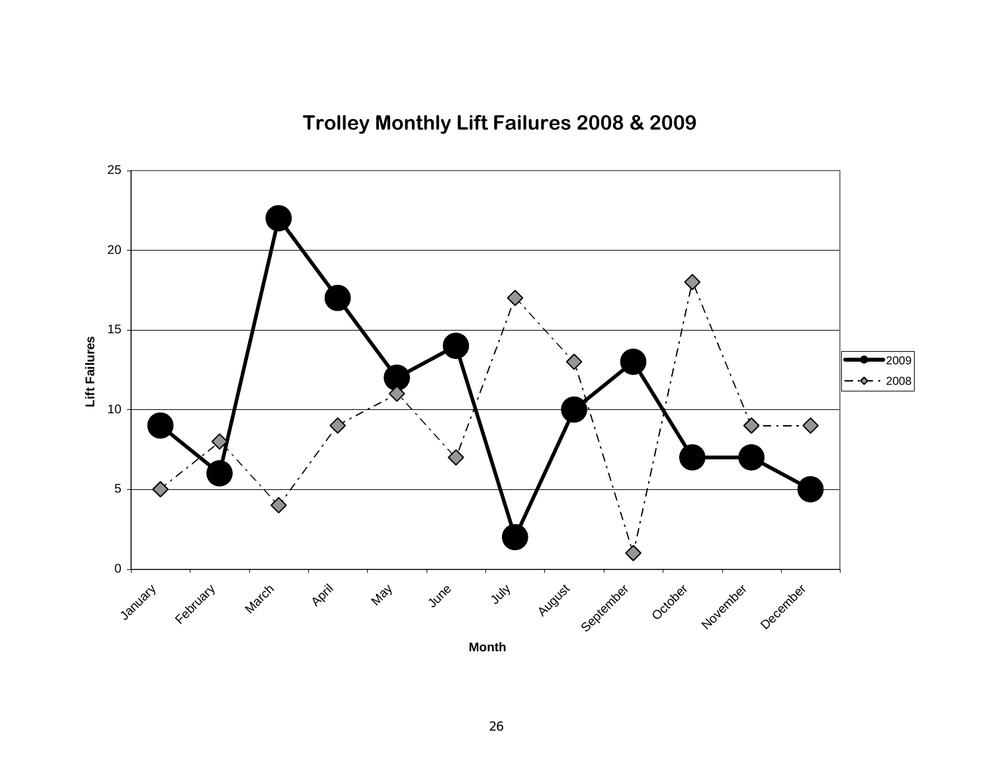**Trolley Monthly Lift Failures 2008 & 2009**

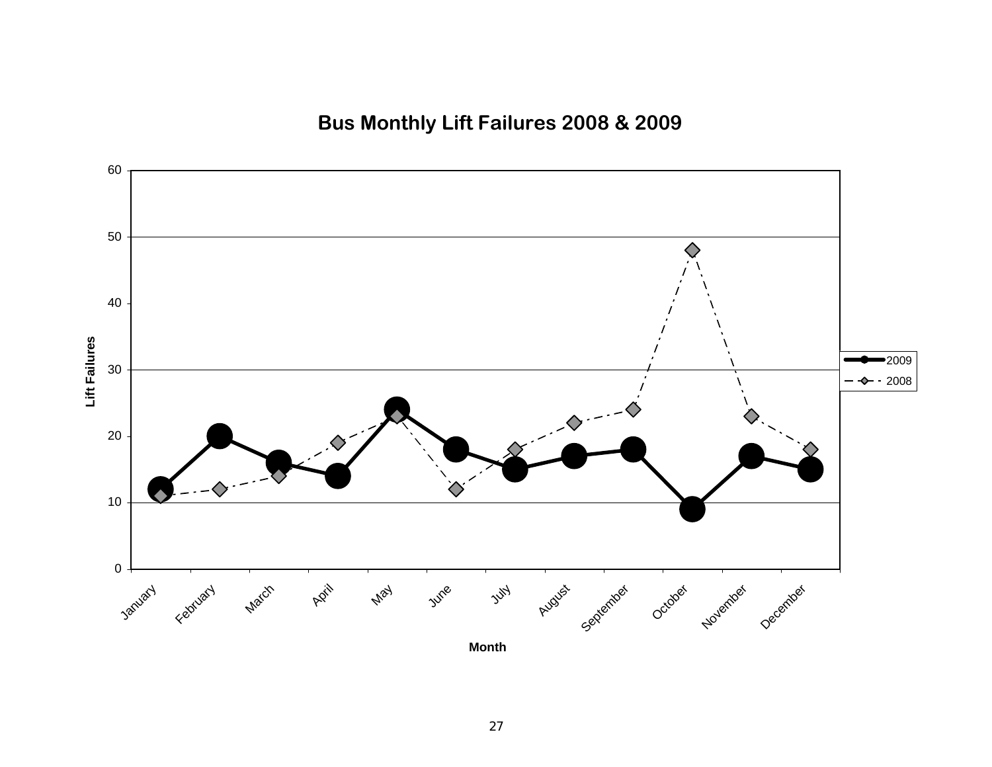**Bus Monthly Lift Failures 2008 & 2009**

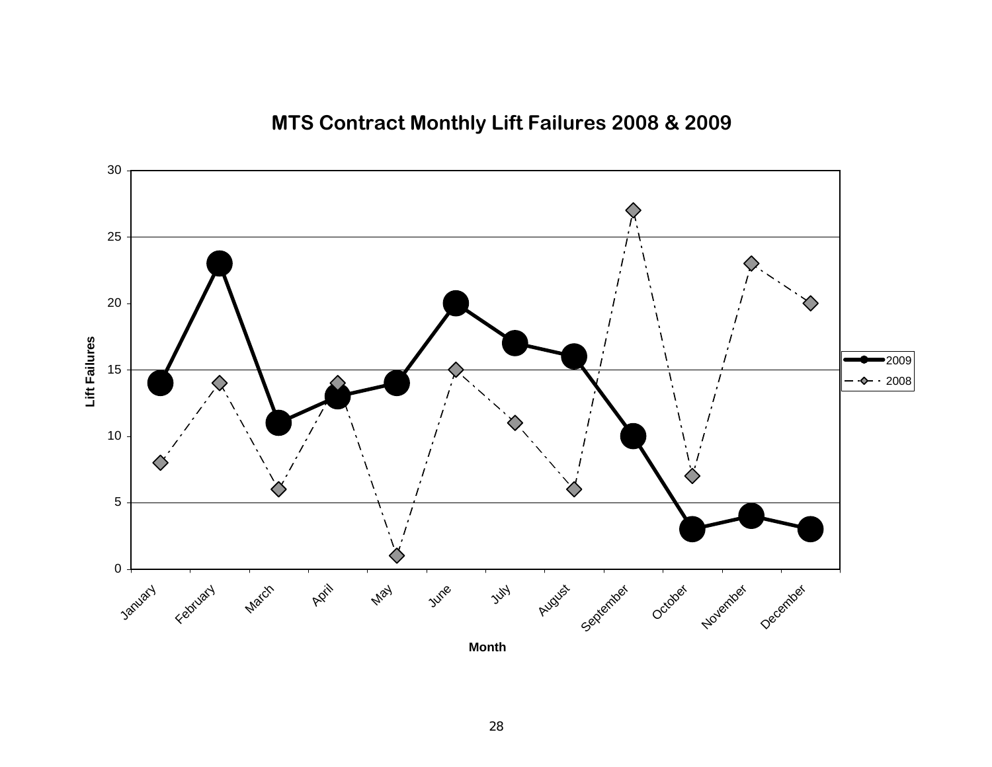### **MTS Contract Monthly Lift Failures 2008 & 2009**

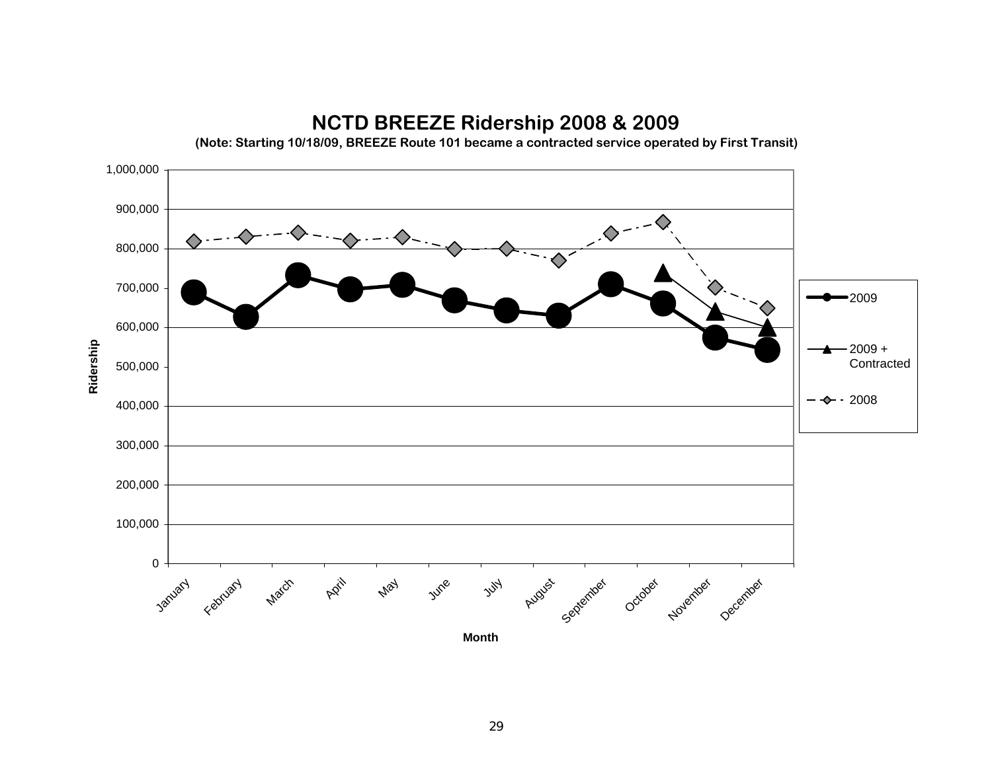

### **NCTD BREEZE Ridership 2008 & 2009**

**(Note: Starting 10/18/09, BREEZE Route 101 became a contracted service operated by First Transit)**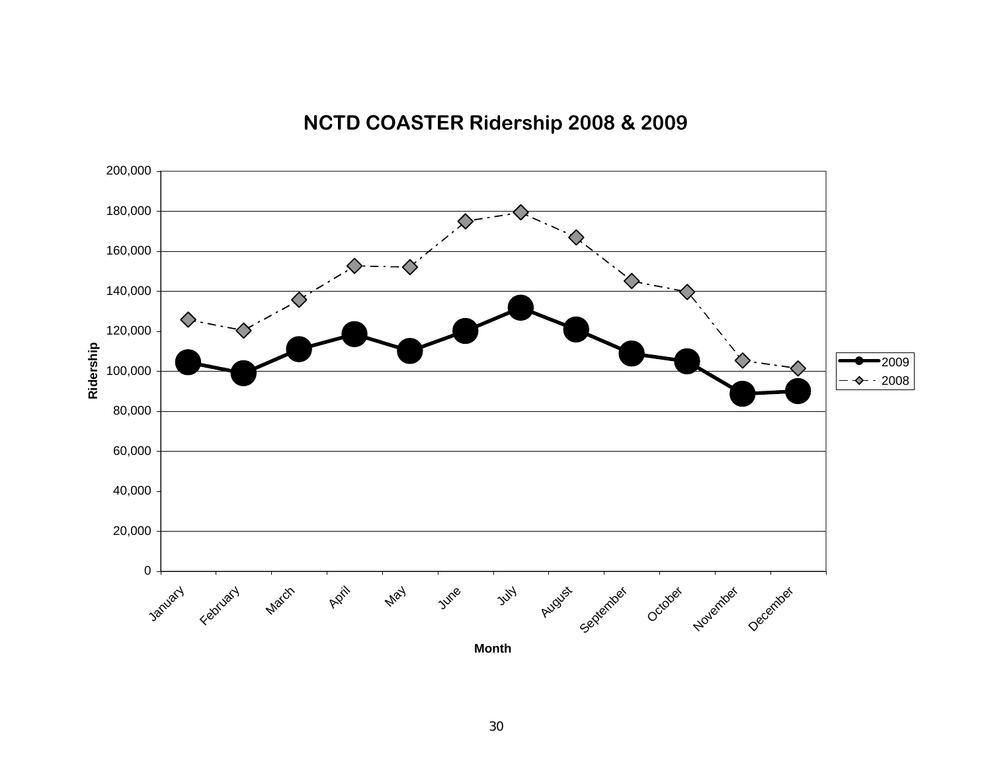### 020,000 40,000 60,000 80,000 100,000 120,000 140,000 160,000 180,000 200,000 January February **March** April May June  $y^{\mathcal{U}}$ August <sub>September October November December</sub> **Month**<u>**Rider 100,000**</u><br>Ridership<br>Rider 2008<br>Rider 2008

### **NCTD COASTER Ridership 2008 & 2009**

30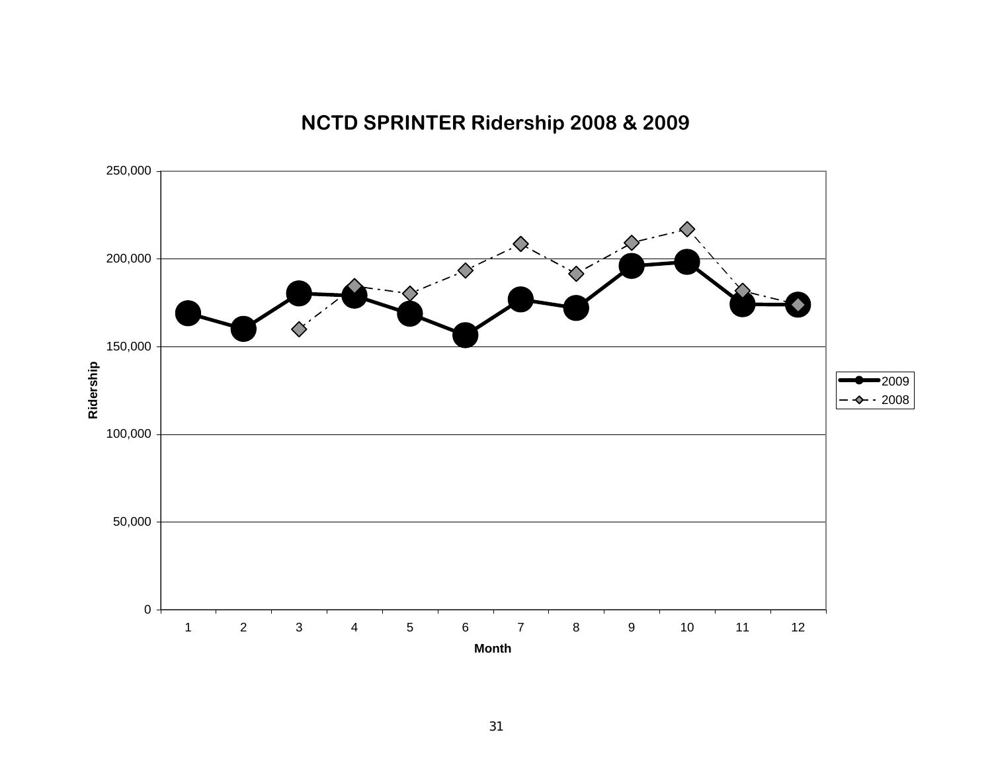## **NCTD SPRINTER Ridership 2008 & 2009**